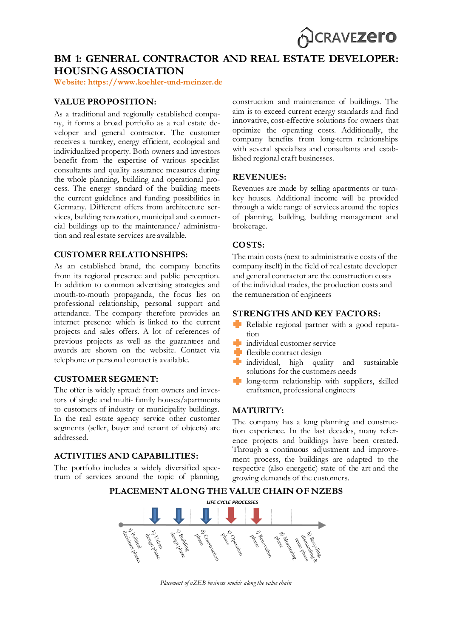# **BM 1: GENERAL CONTRACTOR AND REAL ESTATE DEVELOPER: HOUSING ASSOCIATION**

**Website: https://www.koehler-und-meinzer.de**

## **VALUE PROPOSITION:**

As a traditional and regionally established company, it forms a broad portfolio as a real estate developer and general contractor. The customer receives a turnkey, energy efficient, ecological and individualized property. Both owners and investors benefit from the expertise of various specialist consultants and quality assurance measures during the whole planning, building and operational process. The energy standard of the building meets the current guidelines and funding possibilities in Germany. Different offers from architecture services, building renovation, municipal and commercial buildings up to the maintenance/ administration and real estate services are available.

#### **CUSTOMER RELATIONSHIPS:**

As an established brand, the company benefits from its regional presence and public perception. In addition to common advertising strategies and mouth-to-mouth propaganda, the focus lies on professional relationship, personal support and attendance. The company therefore provides an internet presence which is linked to the current projects and sales offers. A lot of references of previous projects as well as the guarantees and awards are shown on the website. Contact via telephone or personal contact is available.

#### **CUSTOMER SEGMENT:**

The offer is widely spread: from owners and investors of single and multi- family houses/apartments to customers of industry or municipality buildings. In the real estate agency service other customer segments (seller, buyer and tenant of objects) are addressed.

#### **ACTIVITIES AND CAPABILITIES:**

The portfolio includes a widely diversified spectrum of services around the topic of planning,

construction and maintenance of buildings. The aim is to exceed current energy standards and find innovative, cost-effective solutions for owners that optimize the operating costs. Additionally, the company benefits from long-term relationships with several specialists and consultants and established regional craft businesses.

#### **REVENUES:**

Revenues are made by selling apartments or turnkey houses. Additional income will be provided through a wide range of services around the topics of planning, building, building management and brokerage.

#### **COSTS:**

The main costs (next to administrative costs of the company itself) in the field of real estate developer and general contractor are the construction costs of the individual trades, the production costs and the remuneration of engineers

#### **STRENGTHS AND KEY FACTORS:**

- Reliable regional partner with a good reputation
- **individual customer service**
- flexible contract design
- individual, high quality and sustainable solutions for the customers needs
- **long-term** relationship with suppliers, skilled craftsmen, professional engineers

#### **MATURITY:**

The company has a long planning and construction experience. In the last decades, many reference projects and buildings have been created. Through a continuous adjustment and improvement process, the buildings are adapted to the respective (also energetic) state of the art and the growing demands of the customers.



*Placement of nZEB business models along the value chain*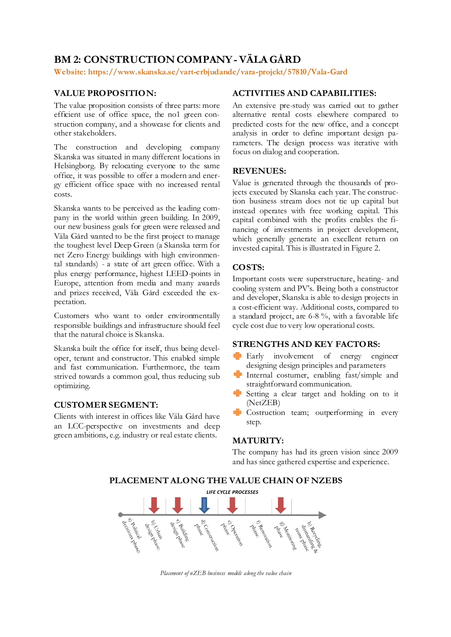# **BM 2: CONSTRUCTION COMPANY - VÄLA GÅRD**

**Website: https://www.skanska.se/vart-erbjudande/vara-projekt/57810/Vala-Gard**

#### **VALUE PROPOSITION:**

The value proposition consists of three parts: more efficient use of office space, the no1 green construction company, and a showcase for clients and other stakeholders.

The construction and developing company Skanska was situated in many different locations in Helsingborg. By relocating everyone to the same office, it was possible to offer a modern and energy efficient office space with no increased rental costs.

Skanska wants to be perceived as the leading company in the world within green building. In 2009, our new business goals for green were released and Väla Gård wanted to be the first project to manage the toughest level Deep Green (a Skanska term for net Zero Energy buildings with high environmental standards) - a state of art green office. With a plus energy performance, highest LEED-points in Europe, attention from media and many awards and prizes received, Väla Gård exceeded the expectation.

Customers who want to order environmentally responsible buildings and infrastructure should feel that the natural choice is Skanska.

Skanska built the office for itself, thus being developer, tenant and constructor. This enabled simple and fast communication. Furthermore, the team strived towards a common goal, thus reducing sub optimizing.

#### **CUSTOMER SEGMENT:**

Clients with interest in offices like Väla Gård have an LCC-perspective on investments and deep green ambitions, e.g. industry or real estate clients.

#### **ACTIVITIES AND CAPABILITIES:**

An extensive pre-study was carried out to gather alternative rental costs elsewhere compared to predicted costs for the new office, and a concept analysis in order to define important design parameters. The design process was iterative with focus on dialog and cooperation.

#### **REVENUES:**

Value is generated through the thousands of projects executed by Skanska each year. The construction business stream does not tie up capital but instead operates with free working capital. This capital combined with the profits enables the financing of investments in project development, which generally generate an excellent return on invested capital. This is illustrated in Figure 2.

#### **COSTS:**

Important costs were superstructure, heating- and cooling system and PV's. Being both a constructor and developer, Skanska is able to design projects in a cost-efficient way. Additional costs, compared to a standard project, are  $6-8\%$ , with a favorable life cycle cost due to very low operational costs.

#### **STRENGTHS AND KEY FACTORS:**

- **Early** involvement of energy engineer designing design principles and parameters
- ÷ Internal costumer, enabling fast/simple and straightforward communication.
- Setting a clear target and holding on to it (NetZEB)
- **Costruction** team; outperforming in every step.

#### **MATURITY:**

The company has had its green vision since 2009 and has since gathered expertise and experience.



*Placement of nZEB business models along the value chain*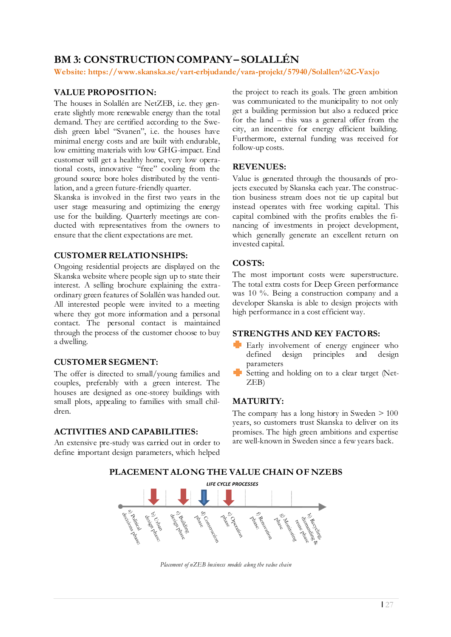# **BM 3: CONSTRUCTION COMPANY – SOLALLÉN**

**Website: https://www.skanska.se/vart-erbjudande/vara-projekt/57940/Solallen%2C-Vaxjo**

## **VALUE PROPOSITION:**

The houses in Solallén are NetZEB, i.e. they generate slightly more renewable energy than the total demand. They are certified according to the Swedish green label "Svanen", i.e. the houses have minimal energy costs and are built with endurable, low emitting materials with low GHG-impact. End customer will get a healthy home, very low operational costs, innovative "free" cooling from the ground source bore holes distributed by the ventilation, and a green future-friendly quarter.

Skanska is involved in the first two years in the user stage measuring and optimizing the energy use for the building. Quarterly meetings are conducted with representatives from the owners to ensure that the client expectations are met.

#### **CUSTOMER RELATIONSHIPS:**

Ongoing residential projects are displayed on the Skanska website where people sign up to state their interest. A selling brochure explaining the extraordinary green features of Solallén was handed out. All interested people were invited to a meeting where they got more information and a personal contact. The personal contact is maintained through the process of the customer choose to buy a dwelling.

#### **CUSTOMER SEGMENT:**

The offer is directed to small/young families and couples, preferably with a green interest. The houses are designed as one-storey buildings with small plots, appealing to families with small children.

#### **ACTIVITIES AND CAPABILITIES:**

An extensive pre-study was carried out in order to define important design parameters, which helped

the project to reach its goals. The green ambition was communicated to the municipality to not only get a building permission but also a reduced price for the land – this was a general offer from the city, an incentive for energy efficient building. Furthermore, external funding was received for follow-up costs.

## **REVENUES:**

Value is generated through the thousands of projects executed by Skanska each year. The construction business stream does not tie up capital but instead operates with free working capital. This capital combined with the profits enables the financing of investments in project development, which generally generate an excellent return on invested capital.

## **COSTS:**

The most important costs were superstructure. The total extra costs for Deep Green performance was 10 %. Being a construction company and a developer Skanska is able to design projects with high performance in a cost efficient way.

#### **STRENGTHS AND KEY FACTORS:**

- **Early involvement of energy engineer who**<br>defined design principles and design design principles and design parameters
- Setting and holding on to a clear target (Net-ZEB)

#### **MATURITY:**

The company has a long history in Sweden  $> 100$ years, so customers trust Skanska to deliver on its promises. The high green ambitions and expertise are well-known in Sweden since a few years back.



*Placement of nZEB business models along the value chain*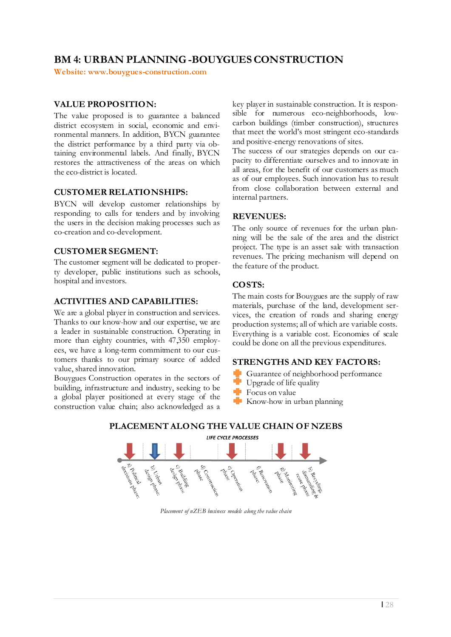# **BM 4: URBAN PLANNING -BOUYGUES CONSTRUCTION**

**Website[: www.bouygues-construction.com](http://www.bouygues-construction.com/)**

#### **VALUE PROPOSITION:**

The value proposed is to guarantee a balanced district ecosystem in social, economic and environmental manners. In addition, BYCN guarantee the district performance by a third party via obtaining environmental labels. And finally, BYCN restores the attractiveness of the areas on which the eco-district is located.

#### **CUSTOMER RELATIONSHIPS:**

BYCN will develop customer relationships by responding to calls for tenders and by involving the users in the decision making processes such as co-creation and co-development.

#### **CUSTOMER SEGMENT:**

The customer segment will be dedicated to property developer, public institutions such as schools, hospital and investors.

#### **ACTIVITIES AND CAPABILITIES:**

We are a global player in construction and services. Thanks to our know-how and our expertise, we are a leader in sustainable construction. Operating in more than eighty countries, with 47,350 employees, we have a long-term commitment to our customers thanks to our primary source of added value, shared innovation.

Bouygues Construction operates in the sectors of building, infrastructure and industry, seeking to be a global player positioned at every stage of the construction value chain; also acknowledged as a key player in sustainable construction. It is responsible for numerous eco-neighborhoods, lowcarbon buildings (timber construction), structures that meet the world's most stringent eco-standards and positive-energy renovations of sites.

The success of our strategies depends on our capacity to differentiate ourselves and to innovate in all areas, for the benefit of our customers as much as of our employees. Such innovation has to result from close collaboration between external and internal partners.

#### **REVENUES:**

The only source of revenues for the urban planning will be the sale of the area and the district project. The type is an asset sale with transaction revenues. The pricing mechanism will depend on the feature of the product.

#### **COSTS:**

The main costs for Bouygues are the supply of raw materials, purchase of the land, development services, the creation of roads and sharing energy production systems; all of which are variable costs. Everything is a variable cost. Economies of scale could be done on all the previous expenditures.

#### **STRENGTHS AND KEY FACTORS:**

- Guarantee of neighborhood performance
- Upgrade of life quality
- Focus on value
- Know-how in urban planning



*Placement of nZEB business models along the value chain*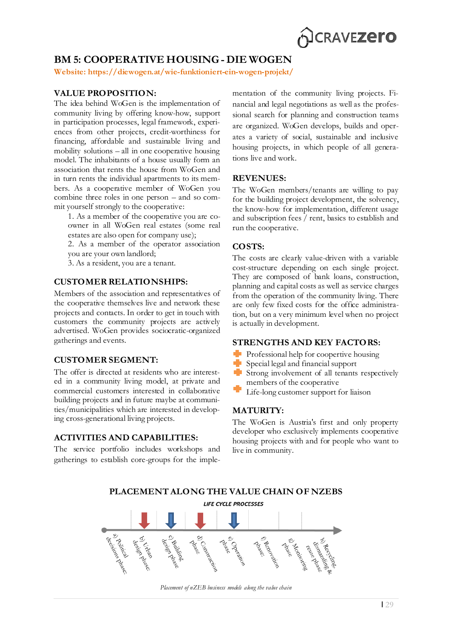

# **BM 5: COOPERATIVE HOUSING - DIE WOGEN**

**Website: https://diewogen.at/wie-funktioniert-ein-wogen-projekt/**

#### **VALUE PROPOSITION:**

The idea behind WoGen is the implementation of community living by offering know-how, support in participation processes, legal framework, experiences from other projects, credit-worthiness for financing, affordable and sustainable living and mobility solutions – all in one cooperative housing model. The inhabitants of a house usually form an association that rents the house from WoGen and in turn rents the individual apartments to its members. As a cooperative member of WoGen you combine three roles in one person – and so commit yourself strongly to the cooperative:

1. As a member of the cooperative you are coowner in all WoGen real estates (some real estates are also open for company use);

2. As a member of the operator association you are your own landlord;

3. As a resident, you are a tenant.

#### **CUSTOMER RELATIONSHIPS:**

Members of the association and representatives of the cooperative themselves live and network these projects and contacts. In order to get in touch with customers the community projects are actively advertised. WoGen provides sociocratic-organized gatherings and events.

#### **CUSTOMER SEGMENT:**

The offer is directed at residents who are interested in a community living model, at private and commercial customers interested in collaborative building projects and in future maybe at communities/municipalities which are interested in developing cross-generational living projects.

#### **ACTIVITIES AND CAPABILITIES:**

The service portfolio includes workshops and gatherings to establish core-groups for the imple-

mentation of the community living projects. Financial and legal negotiations as well as the professional search for planning and construction teams are organized. WoGen develops, builds and operates a variety of social, sustainable and inclusive housing projects, in which people of all generations live and work.

#### **REVENUES:**

The WoGen members/tenants are willing to pay for the building project development, the solvency, the know-how for implementation, different usage and subscription fees / rent, basics to establish and run the cooperative.

#### **COSTS:**

The costs are clearly value-driven with a variable cost-structure depending on each single project. They are composed of bank loans, construction, planning and capital costs as well as service charges from the operation of the community living. There are only few fixed costs for the office administration, but on a very minimum level when no project is actually in development.

#### **STRENGTHS AND KEY FACTORS:**

- Professional help for coopertive housing
- Special legal and financial support
- Strong involvement of all tenants respectively members of the cooperative
- Life-long customer support for liaison

#### **MATURITY:**

The WoGen is Austria's first and only property developer who exclusively implements cooperative housing projects with and for people who want to live in community.



*Placement of nZEB business models along the value chain*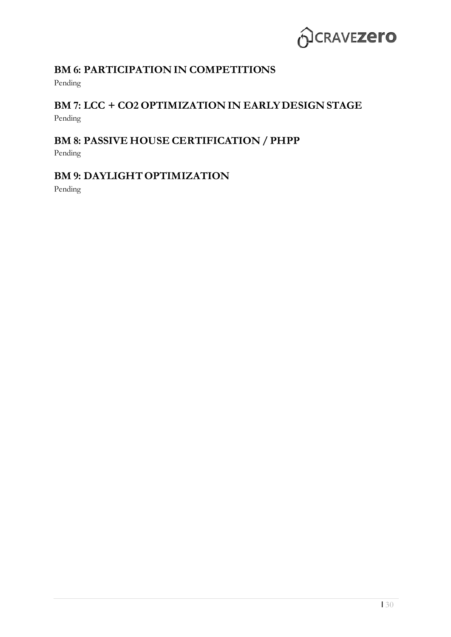

# **BM 6: PARTICIPATION IN COMPETITIONS**

Pending

# **BM 7: LCC + CO2 OPTIMIZATION IN EARLY DESIGN STAGE** Pending

# **BM 8: PASSIVE HOUSE CERTIFICATION / PHPP**

Pending

# **BM 9: DAYLIGHT OPTIMIZATION**

Pending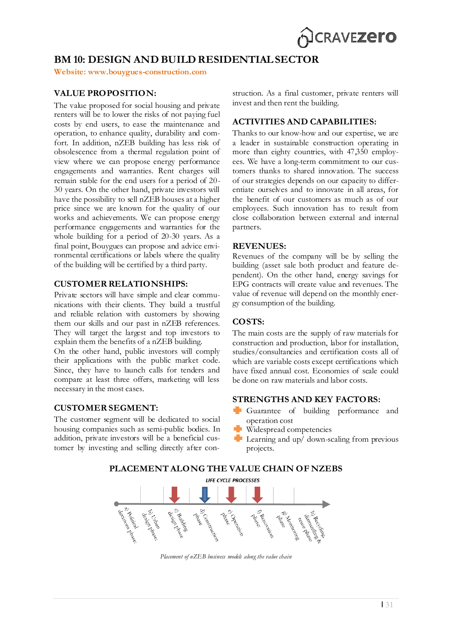

# **BM 10: DESIGN AND BUILD RESIDENTIAL SECTOR**

**Website[: www.bouygues-construction.com](http://www.bouygues-construction.com/)**

#### **VALUE PROPOSITION:**

The value proposed for social housing and private renters will be to lower the risks of not paying fuel costs by end users, to ease the maintenance and operation, to enhance quality, durability and comfort. In addition, nZEB building has less risk of obsolescence from a thermal regulation point of view where we can propose energy performance engagements and warranties. Rent charges will remain stable for the end users for a period of 20- 30 years. On the other hand, private investors will have the possibility to sell nZEB houses at a higher price since we are known for the quality of our works and achievements. We can propose energy performance engagements and warranties for the whole building for a period of 20-30 years. As a final point, Bouygues can propose and advice environmental certifications or labels where the quality of the building will be certified by a third party.

#### **CUSTOMER RELATIONSHIPS:**

Private sectors will have simple and clear communications with their clients. They build a trustful and reliable relation with customers by showing them our skills and our past in nZEB references. They will target the largest and top investors to explain them the benefits of a nZEB building.

On the other hand, public investors will comply their applications with the public market code. Since, they have to launch calls for tenders and compare at least three offers, marketing will less necessary in the most cases.

#### **CUSTOMER SEGMENT:**

The customer segment will be dedicated to social housing companies such as semi-public bodies. In addition, private investors will be a beneficial customer by investing and selling directly after con-

struction. As a final customer, private renters will invest and then rent the building.

#### **ACTIVITIES AND CAPABILITIES:**

Thanks to our know-how and our expertise, we are a leader in sustainable construction operating in more than eighty countries, with 47,350 employees. We have a long-term commitment to our customers thanks to shared innovation. The success of our strategies depends on our capacity to differentiate ourselves and to innovate in all areas, for the benefit of our customers as much as of our employees. Such innovation has to result from close collaboration between external and internal partners.

#### **REVENUES:**

Revenues of the company will be by selling the building (asset sale both product and feature dependent). On the other hand, energy savings for EPG contracts will create value and revenues. The value of revenue will depend on the monthly energy consumption of the building.

#### **COSTS:**

The main costs are the supply of raw materials for construction and production, labor for installation, studies/consultancies and certification costs all of which are variable costs except certifications which have fixed annual cost. Economies of scale could be done on raw materials and labor costs.

#### **STRENGTHS AND KEY FACTORS:**

- Guarantee of building performance and operation cost
- Widespread competencies
- Learning and up/ down-scaling from previous projects.



*Placement of nZEB business models along the value chain*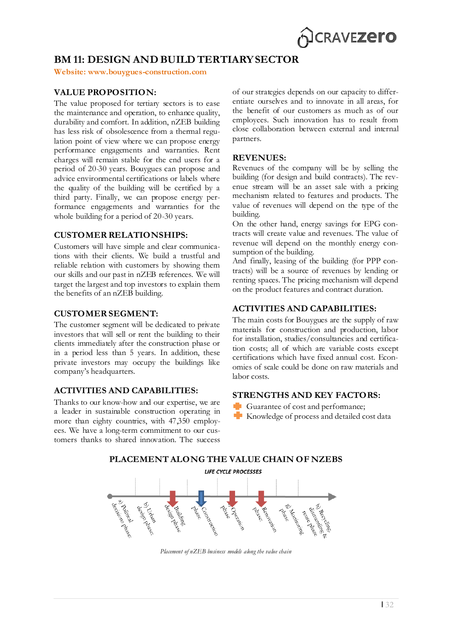

# **BM 11: DESIGN AND BUILD TERTIARY SECTOR**

**Website[: www.bouygues-construction.com](http://www.bouygues-construction.com/)**

### **VALUE PROPOSITION:**

The value proposed for tertiary sectors is to ease the maintenance and operation, to enhance quality, durability and comfort. In addition, nZEB building has less risk of obsolescence from a thermal regulation point of view where we can propose energy performance engagements and warranties. Rent charges will remain stable for the end users for a period of 20-30 years. Bouygues can propose and advice environmental certifications or labels where the quality of the building will be certified by a third party. Finally, we can propose energy performance engagements and warranties for the whole building for a period of 20-30 years.

#### **CUSTOMER RELATIONSHIPS:**

Customers will have simple and clear communications with their clients. We build a trustful and reliable relation with customers by showing them our skills and our past in nZEB references. We will target the largest and top investors to explain them the benefits of an nZEB building.

#### **CUSTOMER SEGMENT:**

The customer segment will be dedicated to private investors that will sell or rent the building to their clients immediately after the construction phase or in a period less than 5 years. In addition, these private investors may occupy the buildings like company's headquarters.

#### **ACTIVITIES AND CAPABILITIES:**

Thanks to our know-how and our expertise, we are a leader in sustainable construction operating in more than eighty countries, with 47,350 employees. We have a long-term commitment to our customers thanks to shared innovation. The success of our strategies depends on our capacity to differentiate ourselves and to innovate in all areas, for the benefit of our customers as much as of our employees. Such innovation has to result from close collaboration between external and internal partners.

#### **REVENUES:**

Revenues of the company will be by selling the building (for design and build contracts). The revenue stream will be an asset sale with a pricing mechanism related to features and products. The value of revenues will depend on the type of the building.

On the other hand, energy savings for EPG contracts will create value and revenues. The value of revenue will depend on the monthly energy consumption of the building.

And finally, leasing of the building (for PPP contracts) will be a source of revenues by lending or renting spaces. The pricing mechanism will depend on the product features and contract duration.

## **ACTIVITIES AND CAPABILITIES:**

The main costs for Bouygues are the supply of raw materials for construction and production, labor for installation, studies/consultancies and certification costs; all of which are variable costs except certifications which have fixed annual cost. Economies of scale could be done on raw materials and labor costs.

#### **STRENGTHS AND KEY FACTORS:**

- Guarantee of cost and performance;
- Knowledge of process and detailed cost data



*Placement of nZEB business models along the value chain*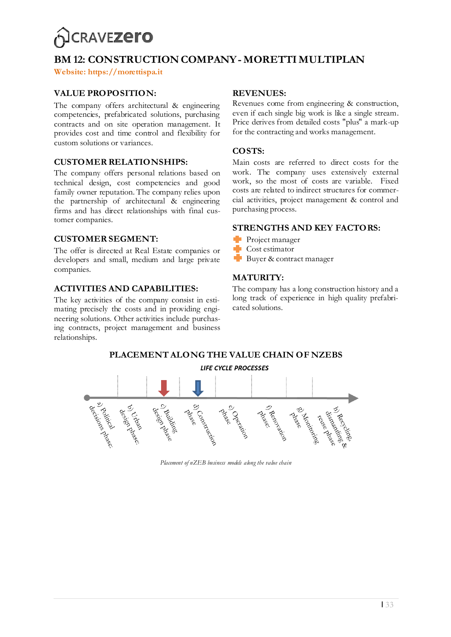# **BM 12: CONSTRUCTION COMPANY - MORETTI MULTIPLAN**

**Website: https://morettispa.it** 

## **VALUE PROPOSITION:**

The company offers architectural & engineering competencies, prefabricated solutions, purchasing contracts and on site operation management. It provides cost and time control and flexibility for custom solutions or variances.

#### **CUSTOMER RELATIONSHIPS:**

The company offers personal relations based on technical design, cost competencies and good family owner reputation. The company relies upon the partnership of architectural & engineering firms and has direct relationships with final customer companies.

## **CUSTOMER SEGMENT:**

The offer is directed at Real Estate companies or developers and small, medium and large private companies.

## **ACTIVITIES AND CAPABILITIES:**

The key activities of the company consist in estimating precisely the costs and in providing engineering solutions. Other activities include purchasing contracts, project management and business relationships.

#### **REVENUES:**

Revenues come from engineering & construction, even if each single big work is like a single stream. Price derives from detailed costs "plus" a mark-up for the contracting and works management.

### **COSTS:**

Main costs are referred to direct costs for the work. The company uses extensively external work, so the most of costs are variable. Fixed costs are related to indirect structures for commercial activities, project management & control and purchasing process.

#### **STRENGTHS AND KEY FACTORS:**

- Project manager
- Cost estimator
- Buyer & contract manager

# **MATURITY:**

The company has a long construction history and a long track of experience in high quality prefabricated solutions.

#### **PLACEMENT ALONG THE VALUE CHAIN OF NZEBS** LIFE CYCLE PROCESSES ac designal spase. A Cross Reser e) Ore<sup>ctiv</sup>ich Paricinal BIODERADO Recyclender<br>Sierparkings<br>Meccleinase E REDORADO S Bullions of **Disco** P. Prosci. **astrage** Se Choichean in engance

*Placement of nZEB business models along the value chain*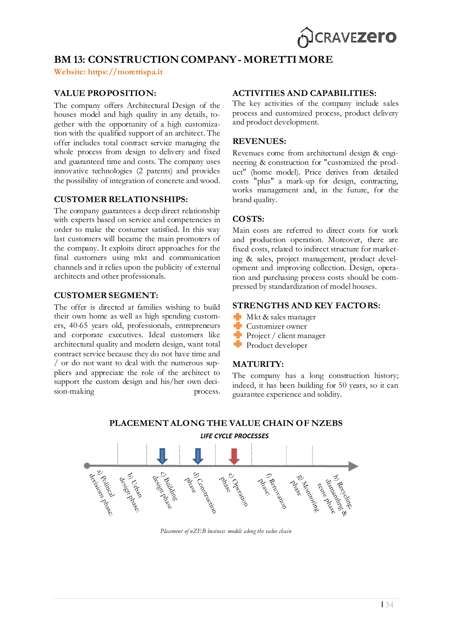

# **BM 13: CONSTRUCTION COMPANY - MORETTI MORE**

**Website: https://morettispa.it** 

#### **VALUE PROPOSITION:**

The company offers Architectural Design of the houses model and high quality in any details, together with the opportunity of a high customization with the qualified support of an architect. The offer includes total contract service managing the whole process from design to delivery and fixed and guaranteed time and costs. The company uses innovative technologies (2 patents) and provides the possibility of integration of concrete and wood.

#### **CUSTOMER RELATIONSHIPS:**

The company guarantees a deep direct relationship with experts based on service and competencies in order to make the costumer satisfied. In this way last customers will became the main promoters of the company. It exploits direct approaches for the final customers using mkt and communication channels and it relies upon the publicity of external architects and other professionals.

#### **CUSTOMER SEGMENT:**

The offer is directed at families wishing to build their own home as well as high spending customers, 40-65 years old, professionals, entrepreneurs and corporate executives. Ideal customers like architectural quality and modern design, want total contract service because they do not have time and / or do not want to deal with the numerous suppliers and appreciate the role of the architect to support the custom design and his/her own decision-making process.

#### **ACTIVITIES AND CAPABILITIES:**

The key activities of the company include sales process and customized process, product delivery and product development.

#### **REVENUES:**

Revenues come from architectural design & engineering & construction for "customized the product" (home model). Price derives from detailed costs "plus" a mark-up for design, contracting, works management and, in the future, for the brand quality.

#### **COSTS:**

Main costs are referred to direct costs for work and production operation. Moreover, there are fixed costs, related to indirect structure for marketing & sales, project management, product development and improving collection. Design, operation and purchasing process costs should be compressed by standardization of model houses.

#### **STRENGTHS AND KEY FACTORS:**

- Mkt & sales manager
- Customizer owner
- Project / client manager
- Product developer

#### **MATURITY:**

The company has a long construction history; indeed, it has been building for 50 years, so it can guarantee experience and solidity.

#### **PLACEMENT ALONG THE VALUE CHAIN OF NZEBS**

**LIFE CYCLE PROCESSES** 



*Placement of nZEB business models along the value chain*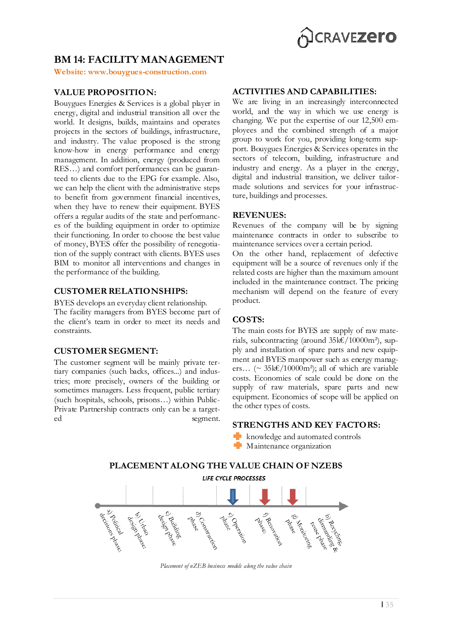

# **BM 14: FACILITY MANAGEMENT**

**Website[: www.bouygues-construction.com](http://www.bouygues-construction.com/)**

#### **VALUE PROPOSITION:**

Bouygues Energies & Services is a global player in energy, digital and industrial transition all over the world. It designs, builds, maintains and operates projects in the sectors of buildings, infrastructure, and industry. The value proposed is the strong know-how in energy performance and energy management. In addition, energy (produced from RES…) and comfort performances can be guaranteed to clients due to the EPG for example. Also, we can help the client with the administrative steps to benefit from government financial incentives, when they have to renew their equipment. BYES offers a regular audits of the state and performances of the building equipment in order to optimize their functioning. In order to choose the best value of money, BYES offer the possibility of renegotiation of the supply contract with clients. BYES uses BIM to monitor all interventions and changes in the performance of the building.

#### **CUSTOMER RELATIONSHIPS:**

BYES develops an everyday client relationship. The facility managers from BYES become part of the client's team in order to meet its needs and constraints.

#### **CUSTOMER SEGMENT:**

The customer segment will be mainly private tertiary companies (such backs, offices...) and industries; more precisely, owners of the building or sometimes managers. Less frequent, public tertiary (such hospitals, schools, prisons…) within Public-Private Partnership contracts only can be a targeted segment.

#### **ACTIVITIES AND CAPABILITIES:**

We are living in an increasingly interconnected world, and the way in which we use energy is changing. We put the expertise of our 12,500 employees and the combined strength of a major group to work for you, providing long-term support. Bouygues Energies & Services operates in the sectors of telecom, building, infrastructure and industry and energy. As a player in the energy, digital and industrial transition, we deliver tailormade solutions and services for your infrastructure, buildings and processes.

#### **REVENUES:**

Revenues of the company will be by signing maintenance contracts in order to subscribe to maintenance services over a certain period.

On the other hand, replacement of defective equipment will be a source of revenues only if the related costs are higher than the maximum amount included in the maintenance contract. The pricing mechanism will depend on the feature of every product.

#### **COSTS:**

The main costs for BYES are supply of raw materials, subcontracting (around 35k€/10000m²), supply and installation of spare parts and new equipment and BYES manpower such as energy managers... (~ 35k $\epsilon$ /10000m<sup>2</sup>); all of which are variable costs. Economies of scale could be done on the supply of raw materials, spare parts and new equipment. Economies of scope will be applied on the other types of costs.

#### **STRENGTHS AND KEY FACTORS:**

knowledge and automated controls **Maintenance organization** 



*Placement of nZEB business models along the value chain*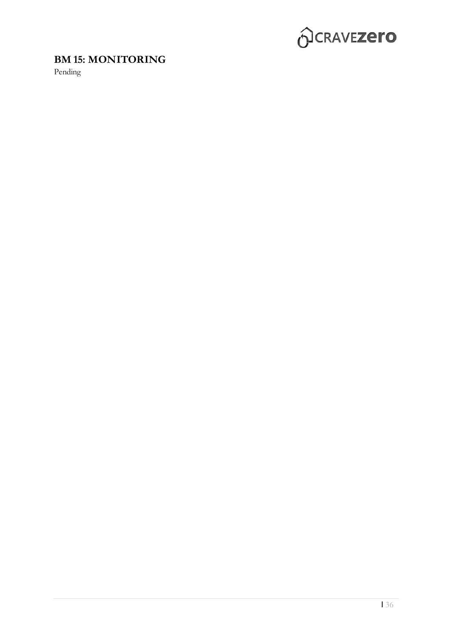

# **BM 15: MONITORING**

Pending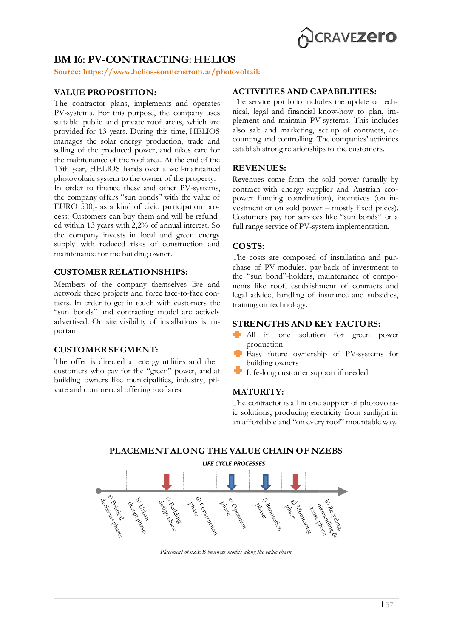

# **BM 16: PV-CONTRACTING: HELIOS**

**Source: https://www.helios-sonnenstrom.at/photovoltaik**

#### **VALUE PROPOSITION:**

The contractor plans, implements and operates PV-systems. For this purpose, the company uses suitable public and private roof areas, which are provided for 13 years. During this time, HELIOS manages the solar energy production, trade and selling of the produced power, and takes care for the maintenance of the roof area. At the end of the 13th year, HELIOS hands over a well-maintained photovoltaic system to the owner of the property.

In order to finance these and other PV-systems, the company offers "sun bonds" with the value of EURO 500,- as a kind of civic participation process: Customers can buy them and will be refunded within 13 years with 2,2% of annual interest. So the company invests in local and green energy supply with reduced risks of construction and maintenance for the building owner.

#### **CUSTOMER RELATIONSHIPS:**

Members of the company themselves live and network these projects and force face-to-face contacts. In order to get in touch with customers the "sun bonds" and contracting model are actively advertised. On site visibility of installations is important.

#### **CUSTOMER SEGMENT:**

The offer is directed at energy utilities and their customers who pay for the "green" power, and at building owners like municipalities, industry, private and commercial offering roof area.

#### **ACTIVITIES AND CAPABILITIES:**

The service portfolio includes the update of technical, legal and financial know-how to plan, implement and maintain PV-systems. This includes also sale and marketing, set up of contracts, accounting and controlling. The companies' activities establish strong relationships to the customers.

#### **REVENUES:**

Revenues come from the sold power (usually by contract with energy supplier and Austrian ecopower funding coordination), incentives (on investment or on sold power – mostly fixed prices). Costumers pay for services like "sun bonds" or a full range service of PV-system implementation.

#### **COSTS:**

The costs are composed of installation and purchase of PV-modules, pay-back of investment to the "sun bond"-holders, maintenance of components like roof, establishment of contracts and legal advice, handling of insurance and subsidies, training on technology.

#### **STRENGTHS AND KEY FACTORS:**

- All in one solution for green power production
- Easy future ownership of PV-systems for building owners
- Life-long customer support if needed

#### **MATURITY:**

The contractor is all in one supplier of photovoltaic solutions, producing electricity from sunlight in an affordable and "on every roof" mountable way.



*Placement of nZEB business models along the value chain*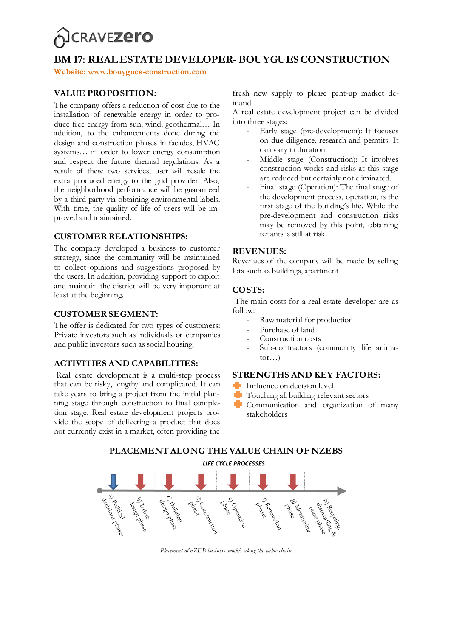# **BM 17: REAL ESTATE DEVELOPER-BOUYGUES CONSTRUCTION**

**Website[: www.bouygues-construction.com](http://www.bouygues-construction.com/)**

## **VALUE PROPOSITION:**

The company offers a reduction of cost due to the installation of renewable energy in order to produce free energy from sun, wind, geothermal… In addition, to the enhancements done during the design and construction phases in facades, HVAC systems… in order to lower energy consumption and respect the future thermal regulations. As a result of these two services, user will resale the extra produced energy to the grid provider. Also, the neighborhood performance will be guaranteed by a third party via obtaining environmental labels. With time, the quality of life of users will be improved and maintained.

## **CUSTOMER RELATIONSHIPS:**

The company developed a business to customer strategy, since the community will be maintained to collect opinions and suggestions proposed by the users. In addition, providing support to exploit and maintain the district will be very important at least at the beginning.

#### **CUSTOMER SEGMENT:**

The offer is dedicated for two types of customers: Private investors such as individuals or companies and public investors such as social housing.

#### **ACTIVITIES AND CAPABILITIES:**

Real estate development is a multi-step process that can be risky, lengthy and complicated. It can take years to bring a project from the initial planning stage through construction to final completion stage. Real estate development projects provide the scope of delivering a product that does not currently exist in a market, often providing the

fresh new supply to please pent-up market demand.

A real estate development project can be divided into three stages:

- Early stage (pre-development): It focuses on due diligence, research and permits. It can vary in duration.
- Middle stage (Construction): It involves construction works and risks at this stage are reduced but certainly not eliminated.
- Final stage (Operation): The final stage of the development process, operation, is the first stage of the building's life. While the pre-development and construction risks may be removed by this point, obtaining tenants is still at risk.

#### **REVENUES:**

Revenues of the company will be made by selling lots such as buildings, apartment

#### **COSTS:**

The main costs for a real estate developer are as follow:

- Raw material for production
- Purchase of land
- Construction costs
- Sub-contractors (community life anima $tor...$ )

#### **STRENGTHS AND KEY FACTORS:**

- Influence on decision level
- Touching all building relevant sectors
- Communication and organization of many stakeholders



*Placement of nZEB business models along the value chain*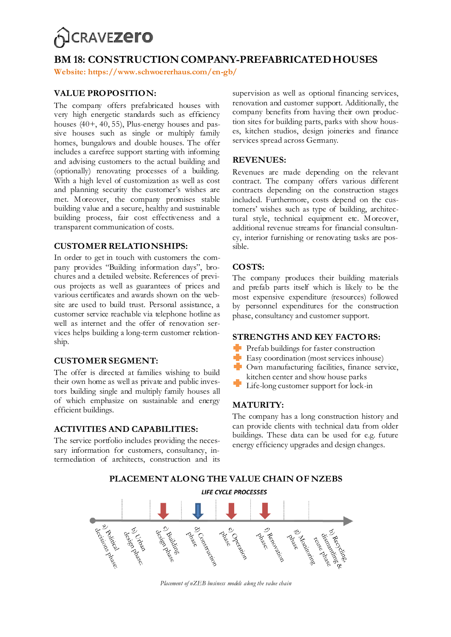# **BM 18: CONSTRUCTION COMPANY-PREFABRICATED HOUSES**

**Website[: https://www.schwoererhaus.com/en-gb/](https://www.schwoererhaus.com/en-gb/)**

### **VALUE PROPOSITION:**

The company offers prefabricated houses with very high energetic standards such as efficiency houses (40+, 40, 55), Plus-energy houses and passive houses such as single or multiply family homes, bungalows and double houses. The offer includes a carefree support starting with informing and advising customers to the actual building and (optionally) renovating processes of a building. With a high level of customization as well as cost and planning security the customer's wishes are met. Moreover, the company promises stable building value and a secure, healthy and sustainable building process, fair cost effectiveness and a transparent communication of costs.

#### **CUSTOMER RELATIONSHIPS:**

In order to get in touch with customers the company provides "Building information days", brochures and a detailed website. References of previous projects as well as guarantees of prices and various certificates and awards shown on the website are used to build trust. Personal assistance, a customer service reachable via telephone hotline as well as internet and the offer of renovation services helps building a long-term customer relationship.

#### **CUSTOMER SEGMENT:**

The offer is directed at families wishing to build their own home as well as private and public investors building single and multiply family houses all of which emphasize on sustainable and energy efficient buildings.

#### **ACTIVITIES AND CAPABILITIES:**

The service portfolio includes providing the necessary information for customers, consultancy, intermediation of architects, construction and its

supervision as well as optional financing services, renovation and customer support. Additionally, the company benefits from having their own production sites for building parts, parks with show houses, kitchen studios, design joineries and finance services spread across Germany.

#### **REVENUES:**

Revenues are made depending on the relevant contract. The company offers various different contracts depending on the construction stages included. Furthermore, costs depend on the customers' wishes such as type of building, architectural style, technical equipment etc. Moreover, additional revenue streams for financial consultancy, interior furnishing or renovating tasks are possible.

#### **COSTS:**

The company produces their building materials and prefab parts itself which is likely to be the most expensive expenditure (resources) followed by personnel expenditures for the construction phase, consultancy and customer support.

#### **STRENGTHS AND KEY FACTORS:**

- Prefab buildings for faster construction
- Easy coordination (most services inhouse)
- Own manufacturing facilities, finance service, kitchen center and show house parks
- Life-long customer support for lock-in

#### **MATURITY:**

The company has a long construction history and can provide clients with technical data from older buildings. These data can be used for e.g. future energy efficiency upgrades and design changes.



*Placement of nZEB business models along the value chain*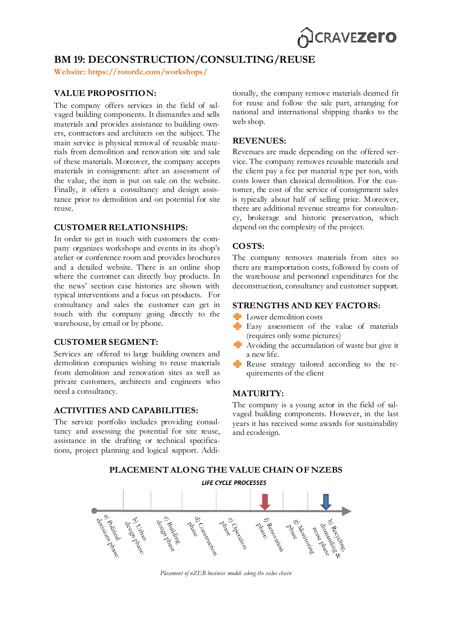

# **BM 19: DECONSTRUCTION/CONSULTING/REUSE**

**Website: https://rotordc.com/workshops/**

#### **VALUE PROPOSITION:**

The company offers services in the field of salvaged building components. It dismantles and sells materials and provides assistance to building owners, contractors and architects on the subject. The main service is physical removal of reusable materials from demolition and renovation site and sale of these materials. Moreover, the company accepts materials in consignment: after an assessment of the value, the item is put on sale on the website. Finally, it offers a consultancy and design assistance prior to demolition and on potential for site reuse.

#### **CUSTOMER RELATIONSHIPS:**

In order to get in touch with customers the company organizes workshops and events in its shop's atelier or conference room and provides brochures and a detailed website. There is an online shop where the customer can directly buy products. In the news' section case histories are shown with typical interventions and a focus on products. For consultancy and sales the customer can get in touch with the company going directly to the warehouse, by email or by phone.

#### **CUSTOMER SEGMENT:**

Services are offered to large building owners and demolition companies wishing to reuse materials from demolition and renovation sites as well as private customers, architects and engineers who need a consultancy.

#### **ACTIVITIES AND CAPABILITIES:**

The service portfolio includes providing consultancy and assessing the potential for site reuse, assistance in the drafting or technical specifications, project planning and logical support. Addi-

tionally, the company remove materials deemed fit for reuse and follow the sale part, arranging for national and international shipping thanks to the web shop.

#### **REVENUES:**

Revenues are made depending on the offered service. The company removes reusable materials and the client pay a fee per material type per ton, with costs lower than classical demolition. For the customer, the cost of the service of consignment sales is typically about half of selling price. Moreover, there are additional revenue streams for consultancy, brokerage and historic preservation, which depend on the complexity of the project.

#### **COSTS:**

The company removes materials from sites so there are transportation costs, followed by costs of the warehouse and personnel expenditures for the deconstruction, consultancy and customer support.

#### **STRENGTHS AND KEY FACTORS:**

- $\blacksquare$  Lower demolition costs
- Easy assessment of the value of materials (requires only some pictures)
- Avoiding the accumulation of waste but give it a new life.
- **Reuse strategy tailored according to the re**quirements of the client

#### **MATURITY:**

The company is a young actor in the field of salvaged building components. However, in the last years it has received some awards for sustainability and ecodesign.



*Placement of nZEB business models along the value chain*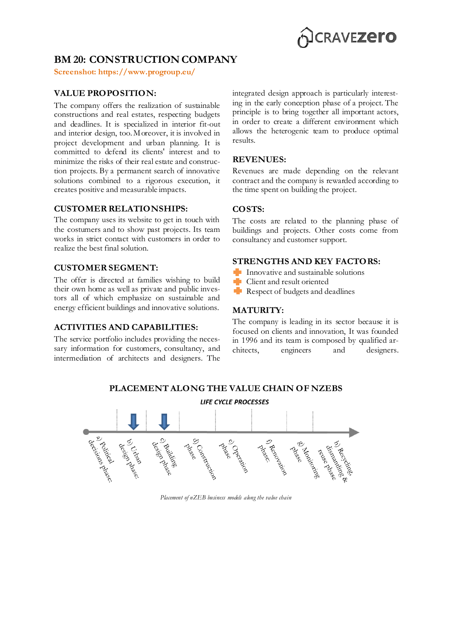

# **BM 20: CONSTRUCTION COMPANY**

**Screenshot: https://www.progroup.eu/** 

#### **VALUE PROPOSITION:**

The company offers the realization of sustainable constructions and real estates, respecting budgets and deadlines. It is specialized in interior fit-out and interior design, too. Moreover, it is involved in project development and urban planning. It is committed to defend its clients' interest and to minimize the risks of their real estate and construction projects. By a permanent search of innovative solutions combined to a rigorous execution, it creates positive and measurable impacts.

#### **CUSTOMER RELATIONSHIPS:**

The company uses its website to get in touch with the costumers and to show past projects. Its team works in strict contact with customers in order to realize the best final solution.

#### **CUSTOMER SEGMENT:**

The offer is directed at families wishing to build their own home as well as private and public investors all of which emphasize on sustainable and energy efficient buildings and innovative solutions.

#### **ACTIVITIES AND CAPABILITIES:**

The service portfolio includes providing the necessary information for customers, consultancy, and intermediation of architects and designers. The

integrated design approach is particularly interesting in the early conception phase of a project. The principle is to bring together all important actors, in order to create a different environment which allows the heterogenic team to produce optimal results.

#### **REVENUES:**

Revenues are made depending on the relevant contract and the company is rewarded according to the time spent on building the project.

#### **COSTS:**

The costs are related to the planning phase of buildings and projects. Other costs come from consultancy and customer support.

#### **STRENGTHS AND KEY FACTORS:**

- Innovative and sustainable solutions
- **Client and result oriented**
- Respect of budgets and deadlines

#### **MATURITY:**

The company is leading in its sector because it is focused on clients and innovation, It was founded in 1996 and its team is composed by qualified architects, engineers and designers.



*Placement of nZEB business models along the value chain*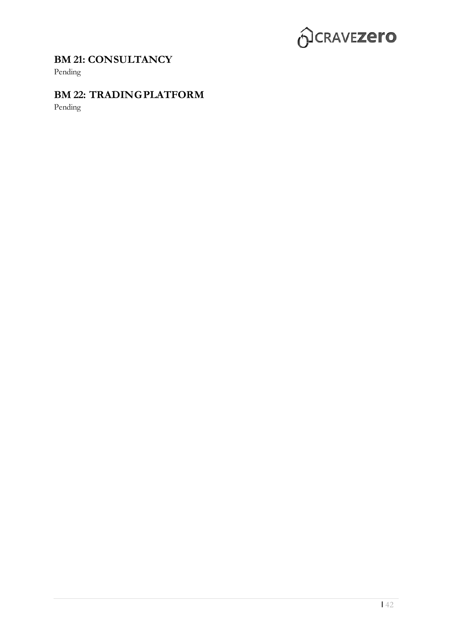# **ACRAVEZEro**

# **BM 21: CONSULTANCY**

Pending

# **BM 22: TRADING PLATFORM**

Pending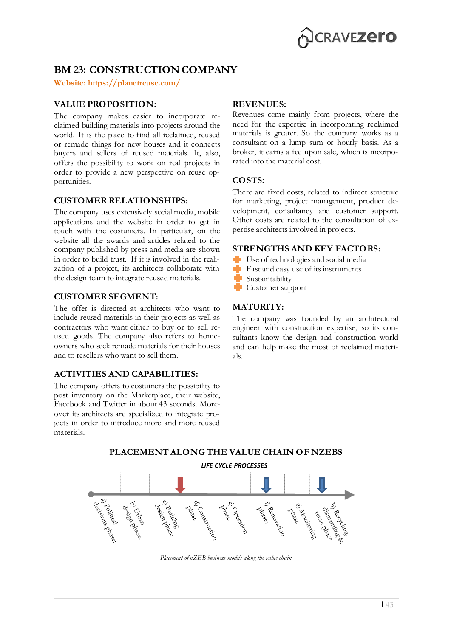

# **BM 23: CONSTRUCTION COMPANY**

**Website: https://planetreuse.com/** 

### **VALUE PROPOSITION:**

The company makes easier to incorporate reclaimed building materials into projects around the world. It is the place to find all reclaimed, reused or remade things for new houses and it connects buyers and sellers of reused materials. It, also, offers the possibility to work on real projects in order to provide a new perspective on reuse opportunities.

#### **CUSTOMER RELATIONSHIPS:**

The company uses extensively social media, mobile applications and the website in order to get in touch with the costumers. In particular, on the website all the awards and articles related to the company published by press and media are shown in order to build trust. If it is involved in the realization of a project, its architects collaborate with the design team to integrate reused materials.

## **CUSTOMER SEGMENT:**

The offer is directed at architects who want to include reused materials in their projects as well as contractors who want either to buy or to sell reused goods. The company also refers to homeowners who seek remade materials for their houses and to resellers who want to sell them.

#### **ACTIVITIES AND CAPABILITIES:**

The company offers to costumers the possibility to post inventory on the Marketplace, their website, Facebook and Twitter in about 43 seconds. Moreover its architects are specialized to integrate projects in order to introduce more and more reused materials.

#### **REVENUES:**

Revenues come mainly from projects, where the need for the expertise in incorporating reclaimed materials is greater. So the company works as a consultant on a lump sum or hourly basis. As a broker, it earns a fee upon sale, which is incorporated into the material cost.

#### **COSTS:**

There are fixed costs, related to indirect structure for marketing, project management, product development, consultancy and customer support. Other costs are related to the consultation of expertise architects involved in projects.

#### **STRENGTHS AND KEY FACTORS:**

- Use of technologies and social media
- $\blacksquare$  Fast and easy use of its instruments
- Sustaintability
- Customer support

#### **MATURITY:**

The company was founded by an architectural engineer with construction expertise, so its consultants know the design and construction world and can help make the most of reclaimed materials.



*Placement of nZEB business models along the value chain*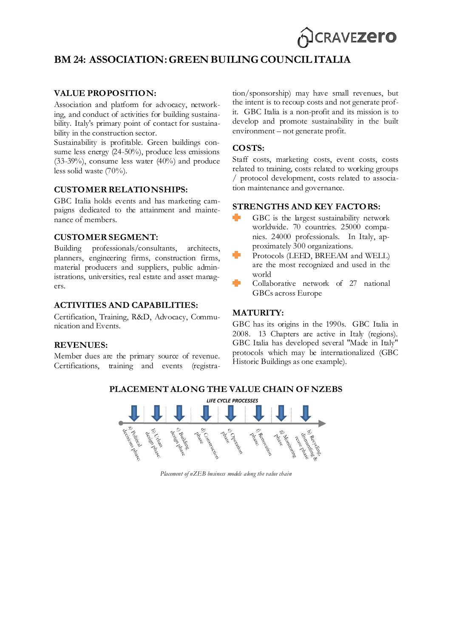# **BM 24: ASSOCIATION: GREEN BUILING COUNCIL ITALIA**

#### **VALUE PROPOSITION:**

Association and platform for advocacy, networking, and conduct of activities for building sustainability. Italy's primary point of contact for sustainability in the construction sector.

Sustainability is profitable. Green buildings consume less energy (24-50%), produce less emissions (33-39%), consume less water (40%) and produce less solid waste (70%).

#### **CUSTOMER RELATIONSHIPS:**

GBC Italia holds events and has marketing campaigns dedicated to the attainment and maintenance of members.

#### **CUSTOMER SEGMENT:**

Building professionals/consultants, architects, planners, engineering firms, construction firms, material producers and suppliers, public administrations, universities, real estate and asset managers.

#### **ACTIVITIES AND CAPABILITIES:**

Certification, Training, R&D, Advocacy, Communication and Events.

#### **REVENUES:**

Member dues are the primary source of revenue. Certifications, training and events (registra-

tion/sponsorship) may have small revenues, but the intent is to recoup costs and not generate profit. GBC Italia is a non-profit and its mission is to develop and promote sustainability in the built environment – not generate profit.

#### **COSTS:**

Staff costs, marketing costs, event costs, costs related to training, costs related to working groups / protocol development, costs related to association maintenance and governance.

#### **STRENGTHS AND KEY FACTORS:**

- GBC is the largest sustainability network worldwide. 70 countries. 25000 companies. 24000 professionals. In Italy, approximately 300 organizations.
- Protocols (LEED, BREEAM and WELL) are the most recognized and used in the world
- Collaborative network of 27 national GBCs across Europe

#### **MATURITY:**

GBC has its origins in the 1990s. GBC Italia in 2008. 13 Chapters are active in Italy (regions). GBC Italia has developed several "Made in Italy" protocols which may be internationalized (GBC Historic Buildings as one example).



*Placement of nZEB business models along the value chain*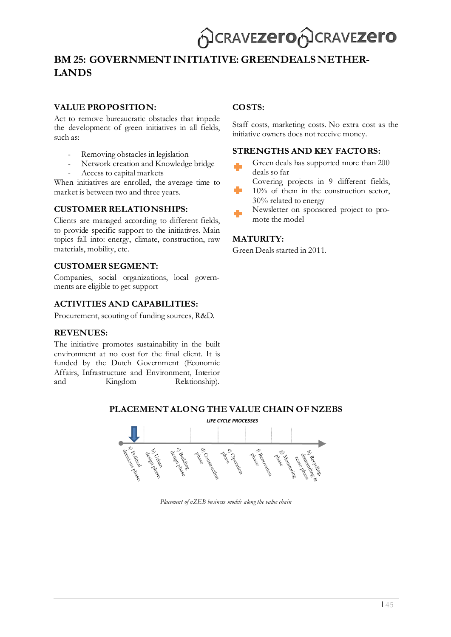# <u> ပဲ</u>CRAVE**Zero** ဂါCRAVE**Zero**

# **BM 25: GOVERNMENT INITIATIVE: GREENDEALS NETHER-LANDS**

## **VALUE PROPOSITION:**

Act to remove bureaucratic obstacles that impede the development of green initiatives in all fields, such as:

- Removing obstacles in legislation
- Network creation and Knowledge bridge
- Access to capital markets

When initiatives are enrolled, the average time to market is between two and three years.

## **CUSTOMER RELATIONSHIPS:**

Clients are managed according to different fields, to provide specific support to the initiatives. Main topics fall into: energy, climate, construction, raw materials, mobility, etc.

## **CUSTOMER SEGMENT:**

Companies, social organizations, local governments are eligible to get support

## **ACTIVITIES AND CAPABILITIES:**

Procurement, scouting of funding sources, R&D.

#### **REVENUES:**

The initiative promotes sustainability in the built environment at no cost for the final client. It is funded by the Dutch Government (Economic Affairs, Infrastructure and Environment, Interior<br>and Kingdom Relationship). and Kingdom Relationship).

## **COSTS:**

Staff costs, marketing costs. No extra cost as the initiative owners does not receive money.

#### **STRENGTHS AND KEY FACTORS:**

- Green deals has supported more than 200 deals so far
	- Covering projects in 9 different fields,
- 10% of them in the construction sector, 30% related to energy
- Newsletter on sponsored project to promote the model

## **MATURITY:**

Green Deals started in 2011.

## **PLACEMENT ALONG THE VALUE CHAIN OF NZEBS**



*Placement of nZEB business models along the value chain*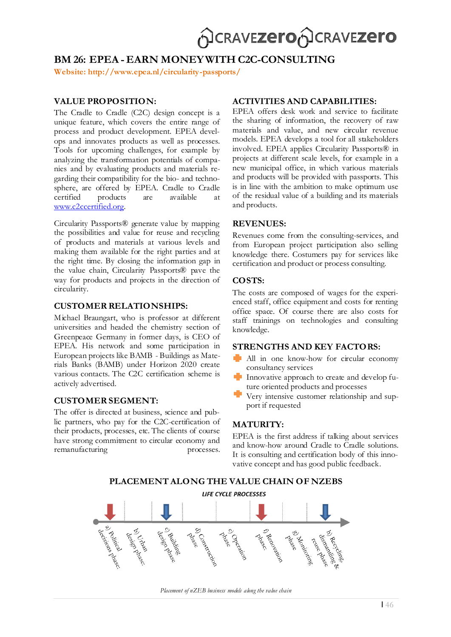# ၣcrave**zero**ၣcrave**zero**

# **BM 26: EPEA - EARN MONEY WITH C2C-CONSULTING**

**Website: http://www.epea.nl/circularity-passports/**

## **VALUE PROPOSITION:**

The Cradle to Cradle (C2C) design concept is a unique feature, which covers the entire range of process and product development. EPEA develops and innovates products as well as processes. Tools for upcoming challenges, for example by analyzing the transformation potentials of companies and by evaluating products and materials regarding their compatibility for the bio- and technosphere, are offered by EPEA. Cradle to Cradle certified products are available at [www.c2ccertified.org](http://www.c2ccertified.org/).

Circularity Passports® generate value by mapping the possibilities and value for reuse and recycling of products and materials at various levels and making them available for the right parties and at the right time. By closing the information gap in the value chain, Circularity Passports® pave the way for products and projects in the direction of circularity.

## **CUSTOMER RELATIONSHIPS:**

Michael Braungart, who is professor at different universities and headed the chemistry section of Greenpeace Germany in former days, is CEO of EPEA. His network and some participation in European projects like BAMB - Buildings as Materials Banks (BAMB) under Horizon 2020 create various contacts. The C2C certification scheme is actively advertised.

#### **CUSTOMER SEGMENT:**

The offer is directed at business, science and public partners, who pay for the C2C-certification of their products, processes, etc. The clients of course have strong commitment to circular economy and remanufacturing processes.

## **ACTIVITIES AND CAPABILITIES:**

EPEA offers desk work and service to facilitate the sharing of information, the recovery of raw materials and value, and new circular revenue models. EPEA develops a tool for all stakeholders involved. EPEA applies Circularity Passports® in projects at different scale levels, for example in a new municipal office, in which various materials and products will be provided with passports. This is in line with the ambition to make optimum use of the residual value of a building and its materials and products.

## **REVENUES:**

Revenues come from the consulting-services, and from European project participation also selling knowledge there. Costumers pay for services like certification and product or process consulting.

#### **COSTS:**

The costs are composed of wages for the experienced staff, office equipment and costs for renting office space. Of course there are also costs for staff trainings on technologies and consulting knowledge.

#### **STRENGTHS AND KEY FACTORS:**

- All in one know-how for circular economy consultancy services
- Innovative approach to create and develop future oriented products and processes
- Very intensive customer relationship and support if requested

## **MATURITY:**

EPEA is the first address if talking about services and know-how around Cradle to Cradle solutions. It is consulting and certification body of this innovative concept and has good public feedback.

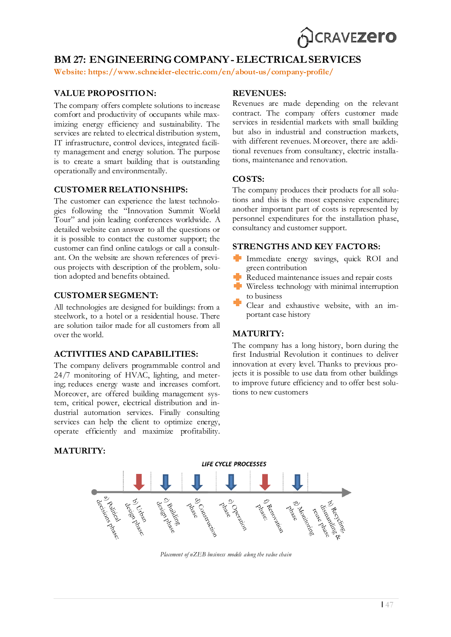

# **BM 27: ENGINEERING COMPANY - ELECTRICAL SERVICES**

**Website[: https://www.schneider-electric.com/en/about-us/company-profile/](https://www.schneider-electric.com/en/about-us/company-profile/)**

#### **VALUE PROPOSITION:**

The company offers complete solutions to increase comfort and productivity of occupants while maximizing energy efficiency and sustainability. The services are related to electrical distribution system, IT infrastructure, control devices, integrated facility management and energy solution. The purpose is to create a smart building that is outstanding operationally and environmentally.

#### **CUSTOMER RELATIONSHIPS:**

The customer can experience the latest technologies following the "Innovation Summit World Tour" and join leading conferences worldwide. A detailed website can answer to all the questions or it is possible to contact the customer support; the customer can find online catalogs or call a consultant. On the website are shown references of previous projects with description of the problem, solution adopted and benefits obtained.

#### **CUSTOMER SEGMENT:**

All technologies are designed for buildings: from a steelwork, to a hotel or a residential house. There are solution tailor made for all customers from all over the world.

#### **ACTIVITIES AND CAPABILITIES:**

The company delivers programmable control and 24/7 monitoring of HVAC, lighting, and metering; reduces energy waste and increases comfort. Moreover, are offered building management system, critical power, electrical distribution and industrial automation services. Finally consulting services can help the client to optimize energy, operate efficiently and maximize profitability.

#### **REVENUES:**

Revenues are made depending on the relevant contract. The company offers customer made services in residential markets with small building but also in industrial and construction markets, with different revenues. Moreover, there are additional revenues from consultancy, electric installations, maintenance and renovation.

#### **COSTS:**

The company produces their products for all solutions and this is the most expensive expenditure; another important part of costs is represented by personnel expenditures for the installation phase, consultancy and customer support.

#### **STRENGTHS AND KEY FACTORS:**

- Immediate energy savings, quick ROI and green contribution
- Reduced maintenance issues and repair costs
- Wireless technology with minimal interruption to business
- Clear and exhaustive website, with an important case history

#### **MATURITY:**

The company has a long history, born during the first Industrial Revolution it continues to deliver innovation at every level. Thanks to previous projects it is possible to use data from other buildings to improve future efficiency and to offer best solutions to new customers

#### **MATURITY:**



*Placement of nZEB business models along the value chain*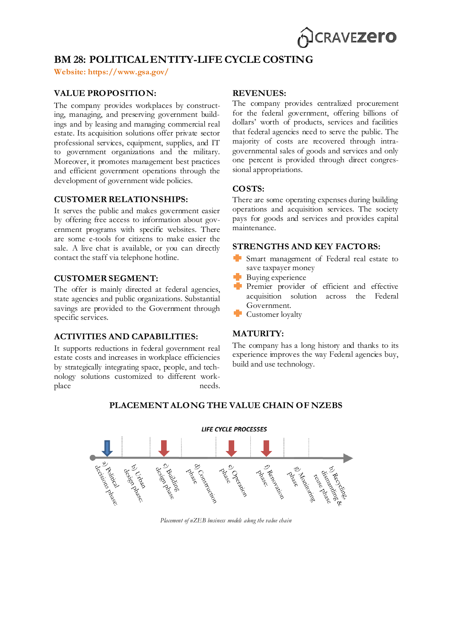

# **BM 28: POLITICAL ENTITY-LIFE CYCLE COSTING**

**Website: https://www.gsa.gov/**

#### **VALUE PROPOSITION:**

The company provides workplaces by constructing, managing, and preserving government buildings and by leasing and managing commercial real estate. Its acquisition solutions offer private sector professional services, equipment, supplies, and IT to government organizations and the military. Moreover, it promotes management best practices and efficient government operations through the development of government wide policies.

#### **CUSTOMER RELATIONSHIPS:**

It serves the public and makes government easier by offering free access to information about government programs with specific websites. There are some e-tools for citizens to make easier the sale. A live chat is available, or you can directly contact the staff via telephone hotline.

#### **CUSTOMER SEGMENT:**

The offer is mainly directed at federal agencies, state agencies and public organizations. Substantial savings are provided to the Government through specific services.

#### **ACTIVITIES AND CAPABILITIES:**

It supports reductions in federal government real estate costs and increases in workplace efficiencies by strategically integrating space, people, and technology solutions customized to different workplace needs.

#### **REVENUES:**

The company provides centralized procurement for the federal government, offering billions of dollars' worth of products, services and facilities that federal agencies need to serve the public. The majority of costs are recovered through intragovernmental sales of goods and services and only one percent is provided through direct congressional appropriations.

#### **COSTS:**

There are some operating expenses during building operations and acquisition services. The society pays for goods and services and provides capital maintenance.

#### **STRENGTHS AND KEY FACTORS:**

- Smart management of Federal real estate to save taxpayer money
- Buying experience
- Premier provider of efficient and effective acquisition solution across the Federal Government.
- **Customer loyalty**

#### **MATURITY:**

The company has a long history and thanks to its experience improves the way Federal agencies buy, build and use technology.



*Placement of nZEB business models along the value chain*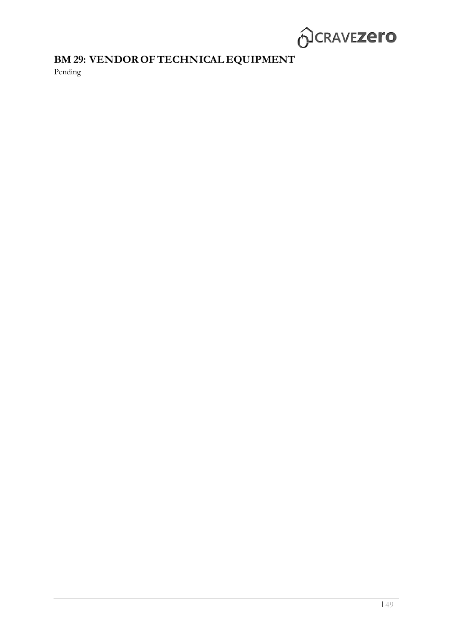

# **BM 29: VENDOR OF TECHNICAL EQUIPMENT**

Pending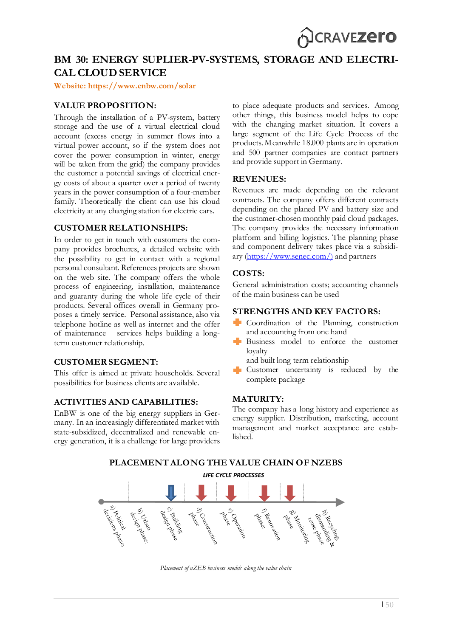# **BM 30: ENERGY SUPLIER-PV-SYSTEMS, STORAGE AND ELECTRI-CAL CLOUD SERVICE**

**Website[: https://www.enbw.com/solar](https://www.enbw.com/solar)**

## **VALUE PROPOSITION:**

Through the installation of a PV-system, battery storage and the use of a virtual electrical cloud account (excess energy in summer flows into a virtual power account, so if the system does not cover the power consumption in winter, energy will be taken from the grid) the company provides the customer a potential savings of electrical energy costs of about a quarter over a period of twenty years in the power consumption of a four-member family. Theoretically the client can use his cloud electricity at any charging station for electric cars.

#### **CUSTOMER RELATIONSHIPS:**

In order to get in touch with customers the company provides brochures, a detailed website with the possibility to get in contact with a regional personal consultant. References projects are shown on the web site. The company offers the whole process of engineering, installation, maintenance and guaranty during the whole life cycle of their products. Several offices overall in Germany proposes a timely service. Personal assistance, also via telephone hotline as well as internet and the offer of maintenance services helps building a longterm customer relationship.

#### **CUSTOMER SEGMENT:**

This offer is aimed at private households. Several possibilities for business clients are available.

### **ACTIVITIES AND CAPABILITIES:**

EnBW is one of the big energy suppliers in Germany. In an increasingly differentiated market with state-subsidized, decentralized and renewable energy generation, it is a challenge for large providers

to place adequate products and services. Among other things, this business model helps to cope with the changing market situation. It covers a large segment of the Life Cycle Process of the products. Meanwhile 18.000 plants are in operation and 500 partner companies are contact partners and provide support in Germany.

#### **REVENUES:**

Revenues are made depending on the relevant contracts. The company offers different contracts depending on the planed PV and battery size and the customer-chosen monthly paid cloud packages. The company provides the necessary information platform and billing logistics. The planning phase and component delivery takes place via a subsidiary [\(https://www.senec.com/\)](https://www.senec.com/)) and partners

## **COSTS:**

General administration costs; accounting channels of the main business can be used

#### **STRENGTHS AND KEY FACTORS:**

- Coordination of the Planning, construction and accounting from one hand
- Business model to enforce the customer loyalty
	- and built long term relationship
- **Customer** uncertainty is reduced by the complete package

#### **MATURITY:**

The company has a long history and experience as energy supplier. Distribution, marketing, account management and market acceptance are established.



*Placement of nZEB business models along the value chain*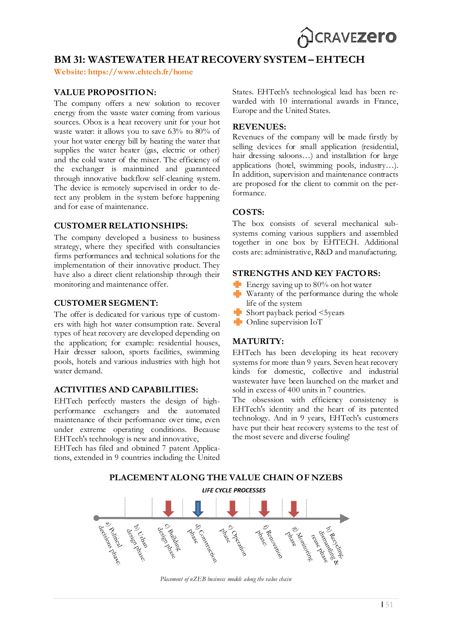

# **BM 31: WASTEWATER HEAT RECOVERY SYSTEM – EHTECH**

**Website[: https://www.ehtech.fr/home](https://www.ehtech.fr/home)**

## **VALUE PROPOSITION:**

The company offers a new solution to recover energy from the waste water coming from various sources. Obox is a heat recovery unit for your hot waste water: it allows you to save 63% to 80% of your hot water energy bill by heating the water that supplies the water heater (gas, electric or other) and the cold water of the mixer. The efficiency of the exchanger is maintained and guaranteed through innovative backflow self-cleaning system. The device is remotely supervised in order to detect any problem in the system before happening and for ease of maintenance.

#### **CUSTOMER RELATIONSHIPS:**

The company developed a business to business strategy, where they specified with consultancies firms performances and technical solutions for the implementation of their innovative product. They have also a direct client relationship through their monitoring and maintenance offer.

#### **CUSTOMER SEGMENT:**

The offer is dedicated for various type of customers with high hot water consumption rate. Several types of heat recovery are developed depending on the application; for example: residential houses, Hair dresser saloon, sports facilities, swimming pools, hotels and various industries with high hot water demand.

#### **ACTIVITIES AND CAPABILITIES:**

EHTech perfectly masters the design of highperformance exchangers and the automated maintenance of their performance over time, even under extreme operating conditions. Because EHTech's technology is new and innovative, EHTech has filed and obtained 7 patent Applica-

tions, extended in 9 countries including the United

States. EHTech's technological lead has been rewarded with 10 international awards in France, Europe and the United States.

#### **REVENUES:**

Revenues of the company will be made firstly by selling devices for small application (residential, hair dressing saloons...) and installation for large applications (hotel, swimming pools, industry…). In addition, supervision and maintenance contracts are proposed for the client to commit on the performance.

#### **COSTS:**

The box consists of several mechanical subsystems coming various suppliers and assembled together in one box by EHTECH. Additional costs are: administrative, R&D and manufacturing.

#### **STRENGTHS AND KEY FACTORS:**

- Energy saving up to  $80\%$  on hot water
- **Waranty of the performance during the whole** life of the system
- Short payback period <5years
- Online supervision IoT

#### **MATURITY:**

EHTech has been developing its heat recovery systems for more than 9 years. Seven heat recovery kinds for domestic, collective and industrial wastewater have been launched on the market and sold in excess of 400 units in 7 countries.

The obsession with efficiency consistency is EHTech's identity and the heart of its patented technology. And in 9 years, EHTech's customers have put their heat recovery systems to the test of the most severe and diverse fouling!

# **PLACEMENT ALONG THE VALUE CHAIN OF NZEBS LIFE CYCLE PROCESSES**



*Placement of nZEB business models along the value chain*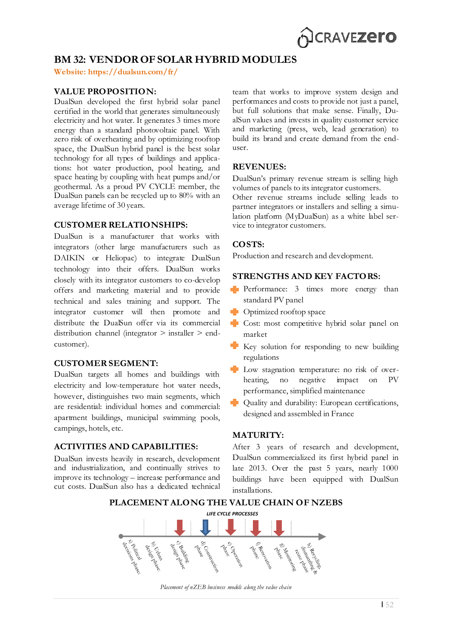

# **BM 32: VENDOR OF SOLAR HYBRID MODULES**

**Website[: https://dualsun.com/fr/](https://dualsun.com/fr/)**

#### **VALUE PROPOSITION:**

DualSun developed the first hybrid solar panel certified in the world that generates simultaneously electricity and hot water. It generates 3 times more energy than a standard photovoltaic panel. With zero risk of overheating and by optimizing rooftop space, the DualSun hybrid panel is the best solar technology for all types of buildings and applications: hot water production, pool heating, and space heating by coupling with heat pumps and/or geothermal. As a proud PV CYCLE member, the DualSun panels can be recycled up to 80% with an average lifetime of 30 years.

#### **CUSTOMER RELATIONSHIPS:**

DualSun is a manufacturer that works with integrators (other large manufacturers such as DAIKIN or Heliopac) to integrate DualSun technology into their offers. DualSun works closely with its integrator customers to co-develop offers and marketing material and to provide technical and sales training and support. The integrator customer will then promote and distribute the DualSun offer via its commercial distribution channel (integrator > installer > endcustomer).

#### **CUSTOMER SEGMENT:**

DualSun targets all homes and buildings with electricity and low-temperature hot water needs, however, distinguishes two main segments, which are residential: individual homes and commercial: apartment buildings, municipal swimming pools, campings, hotels, etc.

#### **ACTIVITIES AND CAPABILITIES:**

DualSun invests heavily in research, development and industrialization, and continually strives to improve its technology – increase performance and cut costs. DualSun also has a dedicated technical

team that works to improve system design and performances and costs to provide not just a panel, but full solutions that make sense. Finally, DualSun values and invests in quality customer service and marketing (press, web, lead generation) to build its brand and create demand from the enduser.

#### **REVENUES:**

DualSun's primary revenue stream is selling high volumes of panels to its integrator customers.

Other revenue streams include selling leads to partner integrators or installers and selling a simulation platform (MyDualSun) as a white label service to integrator customers.

#### **COSTS:**

Production and research and development.

#### **STRENGTHS AND KEY FACTORS:**

- **•** Performance: 3 times more energy than standard PV panel
- Optimized rooftop space
- Cost: most competitive hybrid solar panel on market
- Key solution for responding to new building regulations
- Low stagnation temperature: no risk of overheating, no negative impact on PV performance, simplified maintenance
- Quality and durability: European certifications, designed and assembled in France

#### **MATURITY:**

After 3 years of research and development, DualSun commercialized its first hybrid panel in late 2013. Over the past 5 years, nearly 1000 buildings have been equipped with DualSun installations.

LIFE CYCLE PROCESSES



*Placement of nZEB business models along the value chain*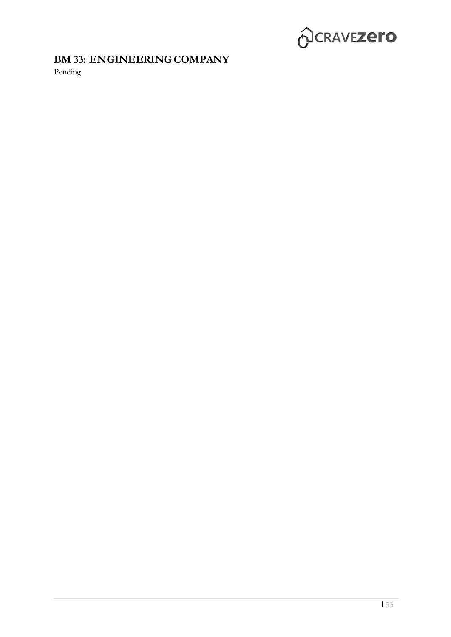

# **BM 33: ENGINEERING COMPANY**

Pending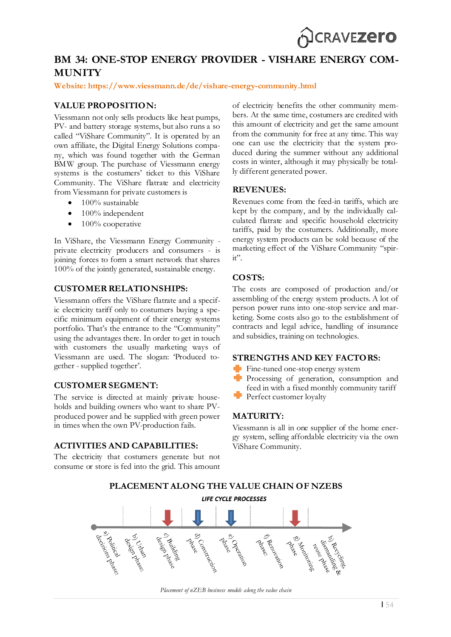# **BM 34: ONE-STOP ENERGY PROVIDER - VISHARE ENERGY COM-MUNITY**

**Website: https://www.viessmann.de/de/vishare-energy-community.html**

### **VALUE PROPOSITION:**

Viessmann not only sells products like heat pumps, PV- and battery storage systems, but also runs a so called "ViShare Community". It is operated by an own affiliate, the Digital Energy Solutions company, which was found together with the German BMW group. The purchase of Viessmann energy systems is the costumers' ticket to this ViShare Community. The ViShare flatrate and electricity from Viessmann for private customers is

- 100% sustainable
- $\bullet$  100% independent
- $\bullet$  100% cooperative

In ViShare, the Viessmann Energy Community private electricity producers and consumers - is joining forces to form a smart network that shares 100% of the jointly generated, sustainable energy.

#### **CUSTOMER RELATIONSHIPS:**

Viessmann offers the ViShare flatrate and a specific electricity tariff only to costumers buying a specific minimum equipment of their energy systems portfolio. That's the entrance to the "Community" using the advantages there. In order to get in touch with customers the usually marketing ways of Viessmann are used. The slogan: 'Produced together - supplied together'.

#### **CUSTOMER SEGMENT:**

The service is directed at mainly private households and building owners who want to share PVproduced power and be supplied with green power in times when the own PV-production fails.

#### **ACTIVITIES AND CAPABILITIES:**

The electricity that costumers generate but not consume or store is fed into the grid. This amount

of electricity benefits the other community members. At the same time, costumers are credited with this amount of electricity and get the same amount from the community for free at any time. This way one can use the electricity that the system produced during the summer without any additional costs in winter, although it may physically be totally different generated power.

#### **REVENUES:**

Revenues come from the feed-in tariffs, which are kept by the company, and by the individually calculated flatrate and specific household electricity tariffs, paid by the costumers. Additionally, more energy system products can be sold because of the marketing effect of the ViShare Community "spirit".

#### **COSTS:**

The costs are composed of production and/or assembling of the energy system products. A lot of person power runs into one-stop service and marketing. Some costs also go to the establishment of contracts and legal advice, handling of insurance and subsidies, training on technologies.

#### **STRENGTHS AND KEY FACTORS:**

- Fine-tuned one-stop energy system
- Processing of generation, consumption and feed in with a fixed monthly community tariff
- Perfect customer loyalty

#### **MATURITY:**

Viessmann is all in one supplier of the home energy system, selling affordable electricity via the own ViShare Community.



*Placement of nZEB business models along the value chain*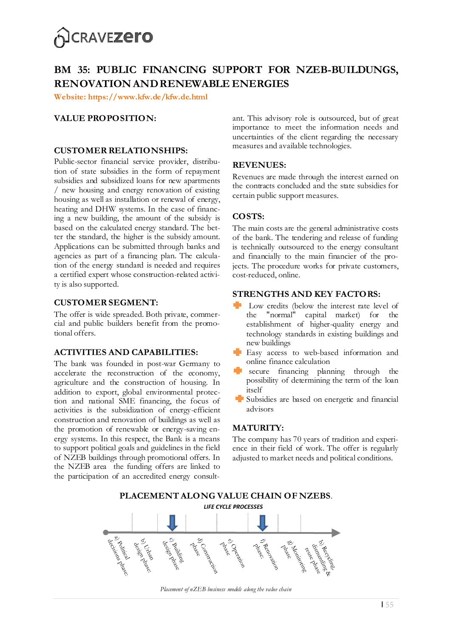# **BM 35: PUBLIC FINANCING SUPPORT FOR NZEB-BUILDUNGS, RENOVATION AND RENEWABLE ENERGIES**

**Website[: https://www.kfw.de/kfw.de.html](https://www.kfw.de/kfw.de.html)**

#### **VALUE PROPOSITION:**

#### **CUSTOMER RELATIONSHIPS:**

Public-sector financial service provider, distribution of state subsidies in the form of repayment subsidies and subsidized loans for new apartments / new housing and energy renovation of existing housing as well as installation or renewal of energy, heating and DHW systems. In the case of financing a new building, the amount of the subsidy is based on the calculated energy standard. The better the standard, the higher is the subsidy amount. Applications can be submitted through banks and agencies as part of a financing plan. The calculation of the energy standard is needed and requires a certified expert whose construction-related activity is also supported.

#### **CUSTOMER SEGMENT:**

The offer is wide spreaded. Both private, commercial and public builders benefit from the promotional offers.

#### **ACTIVITIES AND CAPABILITIES:**

The bank was founded in post-war Germany to accelerate the reconstruction of the economy, agriculture and the construction of housing. In addition to export, global environmental protection and national SME financing, the focus of activities is the subsidization of energy-efficient construction and renovation of buildings as well as the promotion of renewable or energy-saving energy systems. In this respect, the Bank is a means to support political goals and guidelines in the field of NZEB buildings through promotional offers. In the NZEB area the funding offers are linked to the participation of an accredited energy consultant. This advisory role is outsourced, but of great importance to meet the information needs and uncertainties of the client regarding the necessary measures and available technologies.

#### **REVENUES:**

Revenues are made through the interest earned on the contracts concluded and the state subsidies for certain public support measures.

#### **COSTS:**

The main costs are the general administrative costs of the bank. The tendering and release of funding is technically outsourced to the energy consultant and financially to the main financier of the projects. The procedure works for private customers, cost-reduced, online.

## **STRENGTHS AND KEY FACTORS:**

- Low credits (below the interest rate level of the "normal" capital market) for the establishment of higher-quality energy and technology standards in existing buildings and new buildings
- **Easy** access to web-based information and online finance calculation
- secure financing planning through the possibility of determining the term of the loan itself
- Subsidies are based on energetic and financial advisors

#### **MATURITY:**

The company has 70 years of tradition and experience in their field of work. The offer is regularly adjusted to market needs and political conditions.



*Placement of nZEB business models along the value chain*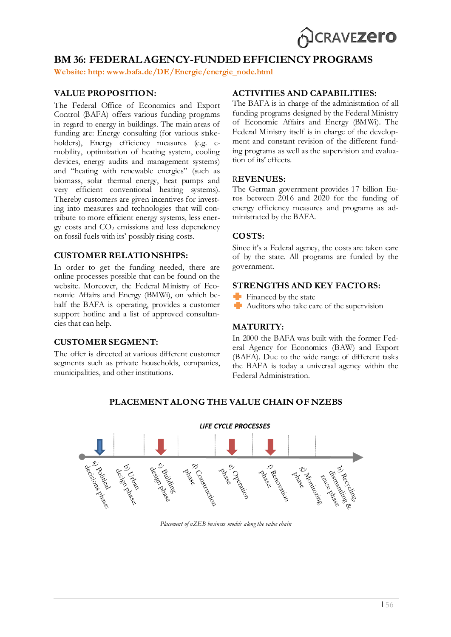# **BM 36: FEDERAL AGENCY-FUNDED EFFICIENCY PROGRAMS**

**Website: http: www.bafa.de/DE/Energie/energie\_node.html**

#### **VALUE PROPOSITION:**

The Federal Office of Economics and Export Control (BAFA) offers various funding programs in regard to energy in buildings. The main areas of funding are: Energy consulting (for various stakeholders), Energy efficiency measures (e.g. emobility, optimization of heating system, cooling devices, energy audits and management systems) and "heating with renewable energies" (such as biomass, solar thermal energy, heat pumps and very efficient conventional heating systems). Thereby customers are given incentives for investing into measures and technologies that will contribute to more efficient energy systems, less energy costs and  $CO<sub>2</sub>$  emissions and less dependency on fossil fuels with its' possibly rising costs.

#### **CUSTOMER RELATIONSHIPS:**

In order to get the funding needed, there are online processes possible that can be found on the website. Moreover, the Federal Ministry of Economic Affairs and Energy (BMWi), on which behalf the BAFA is operating, provides a customer support hotline and a list of approved consultancies that can help.

#### **CUSTOMER SEGMENT:**

The offer is directed at various different customer segments such as private households, companies, municipalities, and other institutions.

#### **ACTIVITIES AND CAPABILITIES:**

The BAFA is in charge of the administration of all funding programs designed by the Federal Ministry of Economic Affairs and Energy (BMWi). The Federal Ministry itself is in charge of the development and constant revision of the different funding programs as well as the supervision and evaluation of its' effects.

#### R**EVENUES:**

The German government provides 17 billion Euros between 2016 and 2020 for the funding of energy efficiency measures and programs as administrated by the BAFA.

#### **COSTS:**

Since it's a Federal agency, the costs are taken care of by the state. All programs are funded by the government.

#### **STRENGTHS AND KEY FACTORS:**

 $\blacksquare$  Financed by the state

Auditors who take care of the supervision

#### **MATURITY:**

In 2000 the BAFA was built with the former Federal Agency for Economics (BAW) and Export (BAFA). Due to the wide range of different tasks the BAFA is today a universal agency within the Federal Administration.



#### **PLACEMENT ALONG THE VALUE CHAIN OF NZEBS**

*Placement of nZEB business models along the value chain*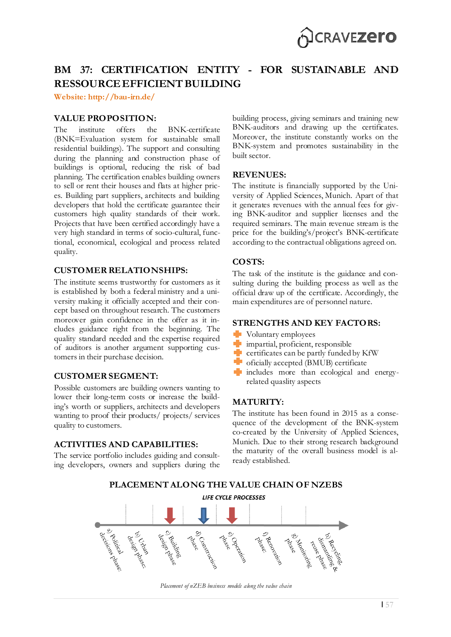# **BM 37: CERTIFICATION ENTITY - FOR SUSTAINABLE AND RESSOURCE EFFICIENT BUILDING**

**Website: http://bau-irn.de/**

#### **VALUE PROPOSITION:**

The institute offers the BNK-certificate (BNK=Evaluation system for sustainable small residential buildings). The support and consulting during the planning and construction phase of buildings is optional, reducing the risk of bad planning. The certification enables building owners to sell or rent their houses and flats at higher prices. Building part suppliers, architects and building developers that hold the certificate guarantee their customers high quality standards of their work. Projects that have been certified accordingly have a very high standard in terms of socio-cultural, functional, economical, ecological and process related quality.

#### **CUSTOMER RELATIONSHIPS:**

The institute seems trustworthy for customers as it is established by both a federal ministry and a university making it officially accepted and their concept based on throughout research. The customers moreover gain confidence in the offer as it includes guidance right from the beginning. The quality standard needed and the expertise required of auditors is another argument supporting customers in their purchase decision.

#### **CUSTOMER SEGMENT:**

Possible customers are building owners wanting to lower their long-term costs or increase the building's worth or suppliers, architects and developers wanting to proof their products/ projects/ services quality to customers.

#### **ACTIVITIES AND CAPABILITIES:**

The service portfolio includes guiding and consulting developers, owners and suppliers during the building process, giving seminars and training new BNK-auditors and drawing up the certificates. Moreover, the institute constantly works on the BNK-system and promotes sustainability in the built sector.

#### **REVENUES:**

The institute is financially supported by the University of Applied Sciences, Munich. Apart of that it generates revenues with the annual fees for giving BNK-auditor and supplier licenses and the required seminars. The main revenue stream is the price for the building's/project's BNK-certificate according to the contractual obligations agreed on.

#### **COSTS:**

The task of the institute is the guidance and consulting during the building process as well as the official draw up of the certificate. Accordingly, the main expenditures are of personnel nature.

#### **STRENGTHS AND KEY FACTORS:**

- Voluntary employees
- impartial, proficient, responsible
- certificates can be partly funded by KfW
- oficially accepted (BMUB) certificate
- includes more than ecological and energyrelated quaslity aspects

#### **MATURITY:**

The institute has been found in 2015 as a consequence of the development of the BNK-system co-created by the University of Applied Sciences, Munich. Due to their strong research background the maturity of the overall business model is already established.



*Placement of nZEB business models along the value chain*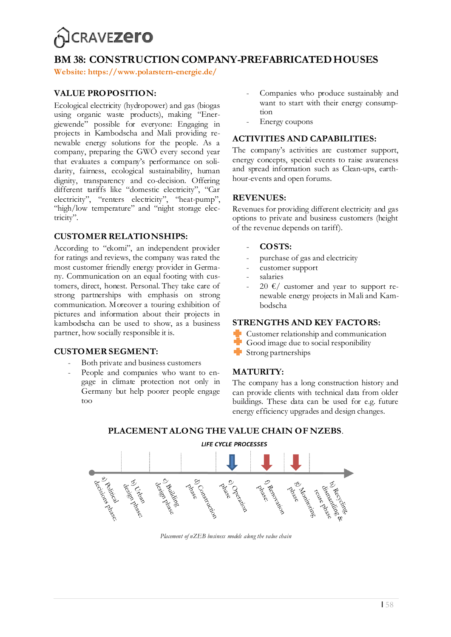# **BM 38: CONSTRUCTION COMPANY-PREFABRICATED HOUSES**

**Website: https://www.polarstern-energie.de/**

## **VALUE PROPOSITION:**

Ecological electricity (hydropower) and gas (biogas using organic waste products), making "Energiewende" possible for everyone: Engaging in projects in Kambodscha and Mali providing renewable energy solutions for the people. As a company, preparing the GWÖ every second year that evaluates a company's performance on solidarity, fairness, ecological sustainability, human dignity, transparency and co-decision. Offering different tariffs like "domestic electricity", "Car electricity", "renters electricity", "heat-pump", "high/low temperature" and "night storage electricity".

## **CUSTOMER RELATIONSHIPS:**

According to "ekomi", an independent provider for ratings and reviews, the company was rated the most customer friendly energy provider in Germany. Communication on an equal footing with customers, direct, honest. Personal. They take care of strong partnerships with emphasis on strong communication. Moreover a touring exhibition of pictures and information about their projects in kambodscha can be used to show, as a business partner, how socially responsible it is.

#### **CUSTOMER SEGMENT:**

- Both private and business customers
- People and companies who want to engage in climate protection not only in Germany but help poorer people engage too
- Companies who produce sustainably and want to start with their energy consumption
- Energy coupons

### **ACTIVITIES AND CAPABILITIES:**

The company's activities are customer support, energy concepts, special events to raise awareness and spread information such as Clean-ups, earthhour-events and open forums.

#### **REVENUES:**

Revenues for providing different electricity and gas options to private and business customers (height of the revenue depends on tariff).

- **COSTS:**
- purchase of gas and electricity
- customer support
- salaries
- 20  $\epsilon$ / customer and year to support renewable energy projects in Mali and Kambodscha

#### **STRENGTHS AND KEY FACTORS:**

Customer relationship and communication

- Good image due to social responibility
- $\blacksquare$  Strong partnerships

#### **MATURITY:**

The company has a long construction history and can provide clients with technical data from older buildings. These data can be used for e.g. future energy efficiency upgrades and design changes.





*Placement of nZEB business models along the value chain*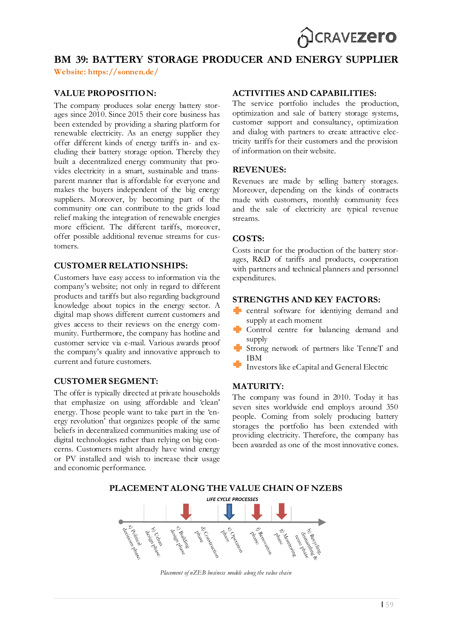# **BM 39: BATTERY STORAGE PRODUCER AND ENERGY SUPPLIER**

**Website: https://sonnen.de/**

### **VALUE PROPOSITION:**

The company produces solar energy battery storages since 2010. Since 2015 their core business has been extended by providing a sharing platform for renewable electricity. As an energy supplier they offer different kinds of energy tariffs in- and excluding their battery storage option. Thereby they built a decentralized energy community that provides electricity in a smart, sustainable and transparent manner that is affordable for everyone and makes the buyers independent of the big energy suppliers. Moreover, by becoming part of the community one can contribute to the grids load relief making the integration of renewable energies more efficient. The different tariffs, moreover, offer possible additional revenue streams for customers.

## **CUSTOMER RELATIONSHIPS:**

Customers have easy access to information via the company's website; not only in regard to different products and tariffs but also regarding background knowledge about topics in the energy sector. A digital map shows different current customers and gives access to their reviews on the energy community. Furthermore, the company has hotline and customer service via e-mail. Various awards proof the company's quality and innovative approach to current and future customers.

#### **CUSTOMER SEGMENT:**

The offer is typically directed at private households that emphasize on using affordable and 'clean' energy. Those people want to take part in the 'energy revolution' that organizes people of the same beliefs in decentralized communities making use of digital technologies rather than relying on big concerns. Customers might already have wind energy or PV installed and wish to increase their usage and economic performance.

#### **ACTIVITIES AND CAPABILITIES:**

The service portfolio includes the production, optimization and sale of battery storage systems, customer support and consultancy, optimization and dialog with partners to create attractive electricity tariffs for their customers and the provision of information on their website.

#### **REVENUES:**

Revenues are made by selling battery storages. Moreover, depending on the kinds of contracts made with customers, monthly community fees and the sale of electricity are typical revenue streams.

#### **COSTS:**

Costs incur for the production of the battery storages, R&D of tariffs and products, cooperation with partners and technical planners and personnel expenditures.

## **STRENGTHS AND KEY FACTORS:**

- **CE** central software for identiving demand and supply at each moment
- Control centre for balancing demand and supply
- Strong network of partners like TenneT and IBM
- Investors like eCapital and General Electric

#### **MATURITY:**

The company was found in 2010. Today it has seven sites worldwide end employs around 350 people. Coming from solely producing battery storages the portfolio has been extended with providing electricity. Therefore, the company has been awarded as one of the most innovative cones.



*Placement of nZEB business models along the value chain*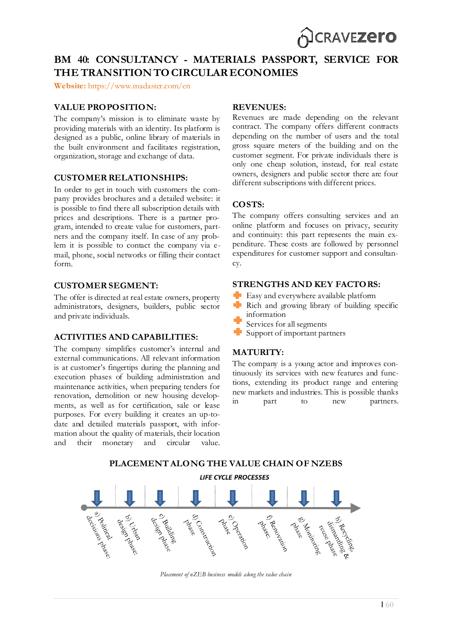# **BM 40: CONSULTANCY - MATERIALS PASSPORT, SERVICE FOR THE TRANSITION TO CIRCULAR ECONOMIES**

**Website:** <https://www.madaster.com/en>

# **VALUE PROPOSITION:**

The company's mission is to eliminate waste by providing materials with an identity. Its platform is designed as a public, online library of materials in the built environment and facilitates registration, organization, storage and exchange of data.

# **CUSTOMER RELATIONSHIPS:**

In order to get in touch with customers the company provides brochures and a detailed website: it is possible to find there all subscription details with prices and descriptions. There is a partner program, intended to create value for customers, partners and the company itself. In case of any problem it is possible to contact the company via email, phone, social networks or filling their contact form.

# **CUSTOMER SEGMENT:**

The offer is directed at real estate owners, property administrators, designers, builders, public sector and private individuals.

# **ACTIVITIES AND CAPABILITIES:**

The company simplifies customer's internal and external communications. All relevant information is at customer's fingertips during the planning and execution phases of building administration and maintenance activities, when preparing tenders for renovation, demolition or new housing developments, as well as for certification, sale or lease purposes. For every building it creates an up-todate and detailed materials passport, with information about the quality of materials, their location and their monetary and circular value.

### **REVENUES:**

Revenues are made depending on the relevant contract. The company offers different contracts depending on the number of users and the total gross square meters of the building and on the customer segment. For private individuals there is only one cheap solution, instead, for real estate owners, designers and public sector there are four different subscriptions with different prices.

# **COSTS:**

The company offers consulting services and an online platform and focuses on privacy, security and continuity: this part represents the main expenditure. These costs are followed by personnel expenditures for customer support and consultancy.

## **STRENGTHS AND KEY FACTORS:**

- Easy and everywhere available platform
- Rich and growing library of building specific information
- Services for all segments
- Support of important partners

## **MATURITY:**

The company is a young actor and improves continuously its services with new features and functions, extending its product range and entering new markets and industries. This is possible thanks in part to new partners.



*Placement of nZEB business models along the value chain*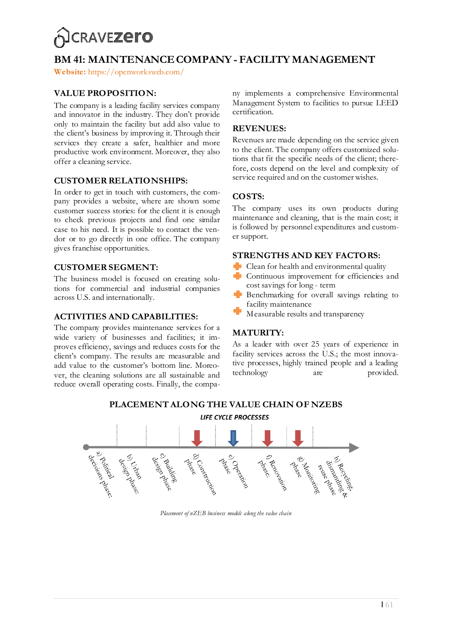# **BM 41: MAINTENANCE COMPANY - FACILITY MANAGEMENT**

**Website:** <https://openworksweb.com/>

## **VALUE PROPOSITION:**

The company is a leading facility services company and innovator in the industry. They don't provide only to maintain the facility but add also value to the client's business by improving it. Through their services they create a safer, healthier and more productive work environment. Moreover, they also offer a cleaning service.

## **CUSTOMER RELATIONSHIPS:**

In order to get in touch with customers, the company provides a website, where are shown some customer success stories: for the client it is enough to check previous projects and find one similar case to his need. It is possible to contact the vendor or to go directly in one office. The company gives franchise opportunities.

#### **CUSTOMER SEGMENT:**

The business model is focused on creating solutions for commercial and industrial companies across U.S. and internationally.

### **ACTIVITIES AND CAPABILITIES:**

The company provides maintenance services for a wide variety of businesses and facilities; it improves efficiency, savings and reduces costs for the client's company. The results are measurable and add value to the customer's bottom line. Moreover, the cleaning solutions are all sustainable and reduce overall operating costs. Finally, the compa-

ny implements a comprehensive Environmental Management System to facilities to pursue LEED certification.

#### **REVENUES:**

Revenues are made depending on the service given to the client. The company offers customized solutions that fit the specific needs of the client; therefore, costs depend on the level and complexity of service required and on the customer wishes.

## **COSTS:**

The company uses its own products during maintenance and cleaning, that is the main cost; it is followed by personnel expenditures and customer support.

#### **STRENGTHS AND KEY FACTORS:**

- $\blacksquare$  Clean for health and environmental quality
- **Continuous improvement for efficiencies and** cost savings for long - term
- Benchmarking for overall savings relating to facility maintenance
- Measurable results and transparency

## **MATURITY:**

As a leader with over 25 years of experience in facility services across the U.S.; the most innovative processes, highly trained people and a leading technology are provided.



*Placement of nZEB business models along the value chain*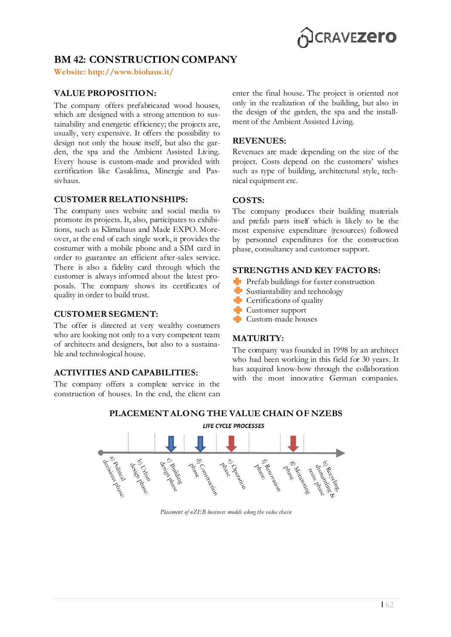

# **BM 42: CONSTRUCTION COMPANY**

**Website: http://www.biohaus.it/**

### **VALUE PROPOSITION:**

The company offers prefabricated wood houses, which are designed with a strong attention to sustainability and energetic efficiency; the projects are, usually, very expensive. It offers the possibility to design not only the house itself, but also the garden, the spa and the [Ambient Assisted Living.](https://context.reverso.net/traduzione/inglese-italiano/Ambient+Assisted+Living+%28AAL) Every house is custom-made and provided with certification like Casaklima, Minergie and Passivhaus.

#### **CUSTOMER RELATIONSHIPS:**

The company uses website and social media to promote its projects. It, also, participates to exhibitions, such as Klimahaus and Made EXPO. Moreover, at the end of each single work, it provides the costumer with a mobile phone and a SIM card in order to guarantee an efficient after-sales service. There is also a fidelity card through which the customer is always informed about the latest proposals. The company shows its certificates of quality in order to build trust.

#### **CUSTOMER SEGMENT:**

The offer is directed at very wealthy costumers who are looking not only to a very competent team of architects and designers, but also to a sustainable and technological house.

#### **ACTIVITIES AND CAPABILITIES:**

The company offers a complete service in the construction of houses. In the end, the client can enter the final house. The project is oriented not only in the realization of the building, but also in the design of the garden, the spa and the installment of the Ambient Assisted Living.

#### **REVENUES:**

Revenues are made depending on the size of the project. Costs depend on the customers' wishes such as type of building, architectural style, technical equipment etc.

#### **COSTS:**

The company produces their building materials and prefab parts itself which is likely to be the most expensive expenditure (resources) followed by personnel expenditures for the construction phase, consultancy and customer support.

## **STRENGTHS AND KEY FACTORS:**

- Prefab buildings for faster construction
- Sustiantability and technology
- **Certifications of quality**
- Customer support
- Custom-made houses

#### **MATURITY:**

The company was founded in 1998 by an architect who had been working in this field for 30 years. It has acquired know-how through the collaboration with the most innovative German companies.



*Placement of nZEB business models along the value chain*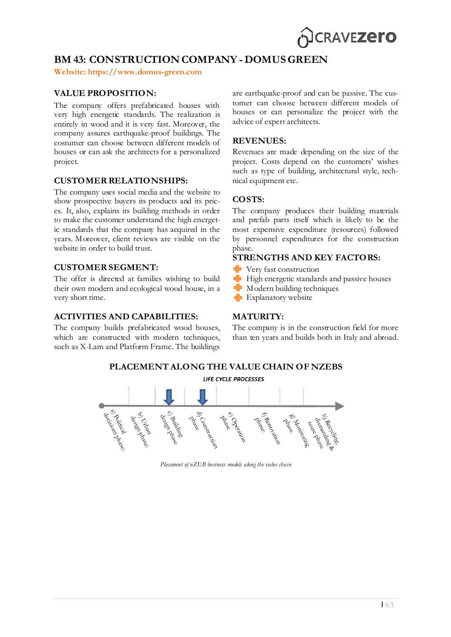# **BM 43: CONSTRUCTION COMPANY - DOMUS GREEN**

**Website: https://www.domus-green.com**

### **VALUE PROPOSITION:**

The company offers prefabricated houses with very high energetic standards. The realization is entirely in wood and it is very fast. Moreover, the company assures earthquake-proof buildings. The costumer can choose between different models of houses or can ask the architects for a personalized project.

## **CUSTOMER RELATIONSHIPS:**

The company uses social media and the website to show prospective buyers its products and its prices. It, also, explains its building methods in order to make the customer understand the high energetic standards that the company has acquired in the years. Moreover, client reviews are visible on the website in order to build trust.

#### **CUSTOMER SEGMENT:**

The offer is directed at families wishing to build their own modern and ecological wood house, in a very short time.

### **ACTIVITIES AND CAPABILITIES:**

The company builds prefabricated wood houses, which are constructed with modern techniques, such as X-Lam and Platform Frame. The buildings are earthquake-proof and can be passive. The customer can choose between different models of houses or can personalize the project with the advice of expert architects.

#### **REVENUES:**

Revenues are made depending on the size of the project. Costs depend on the customers' wishes such as type of building, architectural style, technical equipment etc.

#### **COSTS:**

The company produces their building materials and prefab parts itself which is likely to be the most expensive expenditure (resources) followed by personnel expenditures for the construction phase.

#### **STRENGTHS AND KEY FACTORS:**

- **Very fast construction**
- High energetic standards and passive houses
- $\blacksquare$  Modern building techniques
- **Explanatory website**

## **MATURITY:**

The company is in the construction field for more than ten years and builds both in Italy and abroad.



*Placement of nZEB business models along the value chain*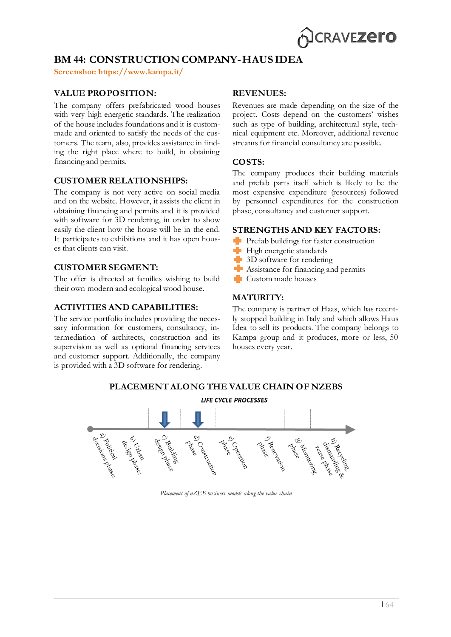

# **BM 44: CONSTRUCTION COMPANY-HAUS IDEA**

**Screenshot: https://www.kampa.it/**

## **VALUE PROPOSITION:**

The company offers prefabricated wood houses with very high energetic standards. The realization of the house includes foundations and it is custommade and oriented to satisfy the needs of the customers. The team, also, provides assistance in finding the right place where to build, in obtaining financing and permits.

## **CUSTOMER RELATIONSHIPS:**

The company is not very active on social media and on the website. However, it assists the client in obtaining financing and permits and it is provided with software for 3D rendering, in order to show easily the client how the house will be in the end. It participates to exhibitions and it has open houses that clients can visit.

#### **CUSTOMER SEGMENT:**

The offer is directed at families wishing to build their own modern and ecological wood house.

#### **ACTIVITIES AND CAPABILITIES:**

The service portfolio includes providing the necessary information for customers, consultancy, intermediation of architects, construction and its supervision as well as optional financing services and customer support. Additionally, the company is provided with a 3D software for rendering.

#### **REVENUES:**

Revenues are made depending on the size of the project. Costs depend on the customers' wishes such as type of building, architectural style, technical equipment etc. Moreover, additional revenue streams for financial consultancy are possible.

#### **COSTS:**

The company produces their building materials and prefab parts itself which is likely to be the most expensive expenditure (resources) followed by personnel expenditures for the construction phase, consultancy and customer support.

#### **STRENGTHS AND KEY FACTORS:**

- Prefab buildings for faster construction
- High energetic standards
- 3D software for rendering
- Assistance for financing and permits
- Custom made houses ÷

## **MATURITY:**

The company is partner of Haas, which has recently stopped building in Italy and which allows Haus Idea to sell its products. The company belongs to Kampa group and it produces, more or less, 50 houses every year.



*Placement of nZEB business models along the value chain*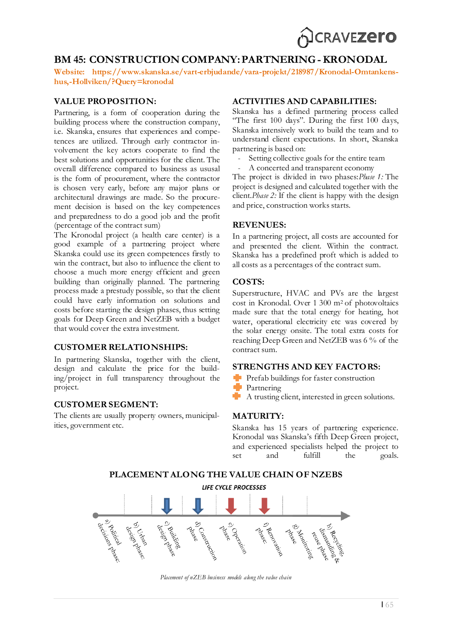

# **BM 45: CONSTRUCTION COMPANY: PARTNERING -KRONODAL**

**Website: https://www.skanska.se/vart-erbjudande/vara-projekt/218987/Kronodal-Omtankenshus,-Hollviken/?Query=kronodal**

## **VALUE PROPOSITION:**

Partnering, is a form of cooperation during the building process where the construction company, i.e. Skanska, ensures that experiences and competences are utilized. Through early contractor involvement the key actors cooperate to find the best solutions and opportunities for the client. The overall difference compared to business as ususal is the form of procurement, where the contractor is chosen very early, before any major plans or architectural drawings are made. So the procurement decision is based on the key competences and preparedness to do a good job and the profit (percentage of the contract sum)

The Kronodal project (a health care center) is a good example of a partnering project where Skanska could use its green competences firstly to win the contract, but also to influence the client to choose a much more energy efficient and green building than originally planned. The partnering process made a prestudy possible, so that the client could have early information on solutions and costs before starting the design phases, thus setting goals for Deep Green and NetZEB with a budget that would cover the extra investment.

#### **CUSTOMER RELATIONSHIPS:**

In partnering Skanska, together with the client, design and calculate the price for the building/project in full transparency throughout the project.

#### **CUSTOMER SEGMENT:**

The clients are usually property owners, municipalities, government etc.

#### **ACTIVITIES AND CAPABILITIES:**

Skanska has a defined partnering process called "The first 100 days". During the first 100 days, Skanska intensively work to build the team and to understand client expectations. In short, Skanska partnering is based on:

- Setting collective goals for the entire team
- A concerted and transparent economy

The project is divided in two phases:*Phase 1:* The project is designed and calculated together with the client.*Phase 2:* If the client is happy with the design and price, construction works starts.

#### **REVENUES:**

In a partnering project, all costs are accounted for and presented the client. Within the contract. Skanska has a predefined proft which is added to all costs as a percentages of the contract sum.

#### **COSTS:**

Superstructure, HVAC and PVs are the largest cost in Kronodal. Over 1 300 m2 of photovoltaics made sure that the total energy for heating, hot water, operational electricity etc was covered by the solar energy onsite. The total extra costs for reaching Deep Green and NetZEB was 6 % of the contract sum.

#### **STRENGTHS AND KEY FACTORS:**

- Prefab buildings for faster construction
- Partnering
- A trusting client, interested in green solutions.

#### **MATURITY:**

Skanska has 15 years of partnering experience. Kronodal was Skanska's fifth Deep Green project, and experienced specialists helped the project to set and fulfill the goals.



*Placement of nZEB business models along the value chain*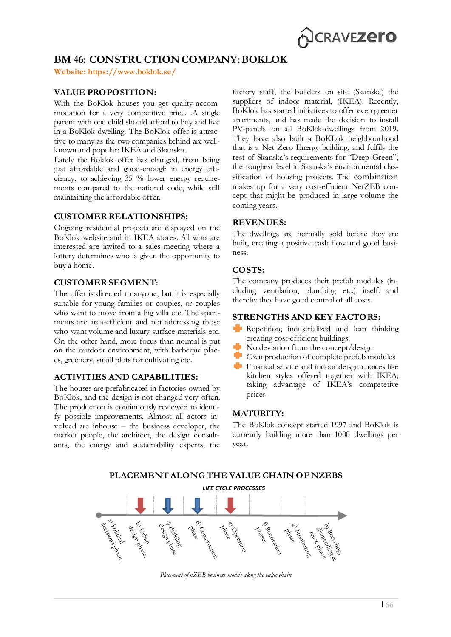

# **BM 46: CONSTRUCTION COMPANY: BOKLOK**

**Website: https://www.boklok.se/**

### **VALUE PROPOSITION:**

With the BoKlok houses you get quality accommodation for a very competitive price. .A single parent with one child should afford to buy and live in a BoKlok dwelling. The BoKlok offer is attractive to many as the two companies behind are wellknown and popular: IKEA and Skanska.

Lately the Boklok offer has changed, from being just affordable and good-enough in energy efficiency, to achieving 35 % lower energy requirements compared to the national code, while still maintaining the affordable offer.

#### **CUSTOMER RELATIONSHIPS:**

Ongoing residential projects are displayed on the BoKlok website and in IKEA stores. All who are interested are invited to a sales meeting where a lottery determines who is given the opportunity to buy a home.

#### **CUSTOMER SEGMENT:**

The offer is directed to anyone, but it is especially suitable for young families or couples, or couples who want to move from a big villa etc. The apartments are area-efficient and not addressing those who want volume and luxury surface materials etc. On the other hand, more focus than normal is put on the outdoor environment, with barbeque places, greenery, small plots for cultivating etc.

#### **ACTIVITIES AND CAPABILITIES:**

The houses are prefabricated in factories owned by BoKlok, and the design is not changed very often. The production is continuously reviewed to identify possible improvements. Almost all actors involved are inhouse – the business developer, the market people, the architect, the design consultants, the energy and sustainability experts, the

factory staff, the builders on site (Skanska) the suppliers of indoor material, (IKEA). Recently, BoKlok has started initiatives to offer even greener apartments, and has made the decision to install PV-panels on all BoKlok-dwellings from 2019. They have also built a BoKLok neighbourhood that is a Net Zero Energy building, and fulfils the rest of Skanska's requirements for "Deep Green", the toughest level in Skanska's environmental classification of housing projects. The combination makes up for a very cost-efficient NetZEB concept that might be produced in large volume the coming years.

#### **REVENUES:**

The dwellings are normally sold before they are built, creating a positive cash flow and good business.

#### **COSTS:**

The company produces their prefab modules (including ventilation, plumbing etc.) itself, and thereby they have good control of all costs.

#### **STRENGTHS AND KEY FACTORS:**

- **Repetition**; industrialized and lean thinking creating cost-efficient buildings.
- No deviation from the concept/design
- Own production of complete prefab modules
- Financal service and indoor deisgn choices like kitchen styles offered together with IKEA; taking advantage of IKEA's competetive prices

#### **MATURITY:**

The BoKlok concept started 1997 and BoKlok is currently building more than 1000 dwellings per year.



*Placement of nZEB business models along the value chain*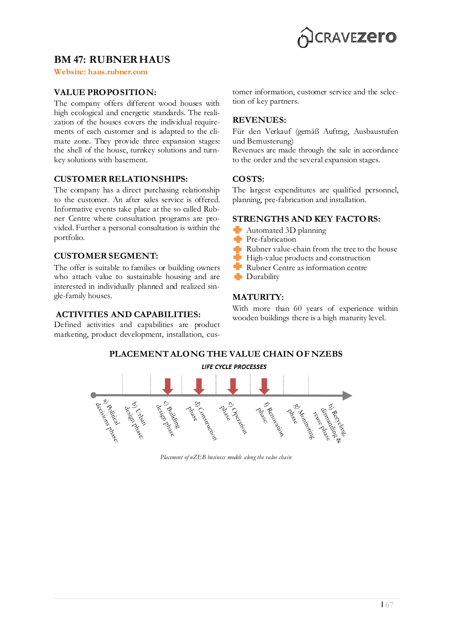

# **BM 47: RUBNER HAUS**

**Website: haus.rubner.com**

#### **VALUE PROPOSITION:**

The company offers different wood houses with high ecological and energetic standards. The realization of the houses covers the individual requirements of each customer and is adapted to the climate zone. They provide three expansion stages: the shell of the house, turnkey solutions and turnkey solutions with basement.

#### **CUSTOMER RELATIONSHIPS:**

The company has a direct purchasing relationship to the customer. An after sales service is offered. Informative events take place at the so called Rubner Centre where consultation programs are provided. Further a personal consultation is within the portfolio.

#### **CUSTOMER SEGMENT:**

The offer is suitable to families or building owners who attach value to sustainable housing and are interested in individually planned and realized single-family houses.

#### **ACTIVITIES AND CAPABILITIES:**

Defined activities and capabilities are product marketing, product development, installation, customer information, customer service and the selection of key partners.

#### **REVENUES:**

Für den Verkauf (gemäß Auftrag, Ausbaustufen und Bemusterung)

Revenues are made through the sale in accordance to the order and the several expansion stages.

#### **COSTS:**

The largest expenditures are qualified personnel, planning, pre-fabrication and installation.

#### **STRENGTHS AND KEY FACTORS:**

- Automated 3D planning
- **Pre-fabrication**
- Rubner value-chain from the tree to the house
- **High-value products and construction**
- Rubner Centre as information centre
- ۰ Durability

#### **MATURITY:**

With more than 60 years of experience within wooden buildings there is a high maturity level.



*Placement of nZEB business models along the value chain*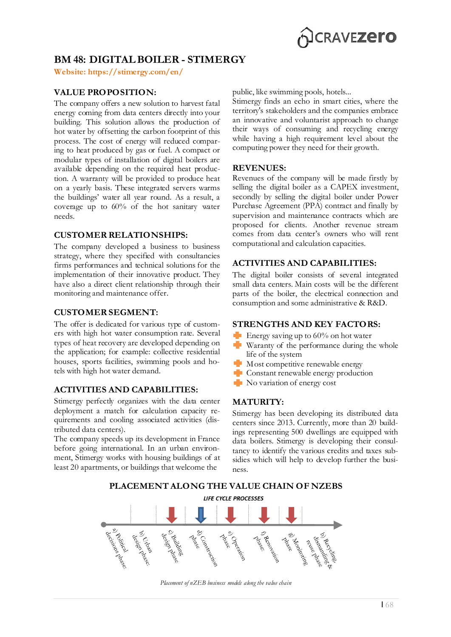

# **BM 48: DIGITAL BOILER - STIMERGY**

**Website: https://stimergy.com/en/**

### **VALUE PROPOSITION:**

The company offers a new solution to harvest fatal energy coming from data centers directly into your building. This solution allows the production of hot water by offsetting the carbon footprint of this process. The cost of energy will reduced comparing to heat produced by gas or fuel. A compact or modular types of installation of digital boilers are available depending on the required heat production. A warranty will be provided to produce heat on a yearly basis. These integrated servers warms the buildings' water all year round. As a result, a coverage up to 60% of the hot sanitary water needs.

#### **CUSTOMER RELATIONSHIPS:**

The company developed a business to business strategy, where they specified with consultancies firms performances and technical solutions for the implementation of their innovative product. They have also a direct client relationship through their monitoring and maintenance offer.

#### **CUSTOMER SEGMENT:**

The offer is dedicated for various type of customers with high hot water consumption rate. Several types of heat recovery are developed depending on the application; for example: collective residential houses, sports facilities, swimming pools and hotels with high hot water demand.

#### **ACTIVITIES AND CAPABILITIES:**

Stimergy perfectly organizes with the data center deployment a match for calculation capacity requirements and cooling associated activities (distributed data centers).

The company speeds up its development in France before going international. In an urban environment, Stimergy works with housing buildings of at least 20 apartments, or buildings that welcome the

public, like swimming pools, hotels...

Stimergy finds an echo in smart cities, where the territory's stakeholders and the companies embrace an innovative and voluntarist approach to change their ways of consuming and recycling energy while having a high requirement level about the computing power they need for their growth.

#### **REVENUES:**

Revenues of the company will be made firstly by selling the digital boiler as a CAPEX investment, secondly by selling the digital boiler under Power Purchase Agreement (PPA) contract and finally by supervision and maintenance contracts which are proposed for clients. Another revenue stream comes from data center's owners who will rent computational and calculation capacities.

#### **ACTIVITIES AND CAPABILITIES:**

The digital boiler consists of several integrated small data centers. Main costs will be the different parts of the boiler, the electrical connection and consumption and some administrative & R&D.

#### **STRENGTHS AND KEY FACTORS:**

- Energy saving up to 60% on hot water
- Waranty of the performance during the whole life of the system
- Most competitive renewable energy
- **Constant renewable energy production**
- No variation of energy cost

#### **MATURITY:**

Stimergy has been developing its distributed data centers since 2013. Currently, more than 20 buildings representing 500 dwellings are equipped with data boilers. Stimergy is developing their consultancy to identify the various credits and taxes subsidies which will help to develop further the business.

#### **PLACEMENT ALONG THE VALUE CHAIN OF NZEBS LIFE CYCLE PROCESSES**



*Placement of nZEB business models along the value chain*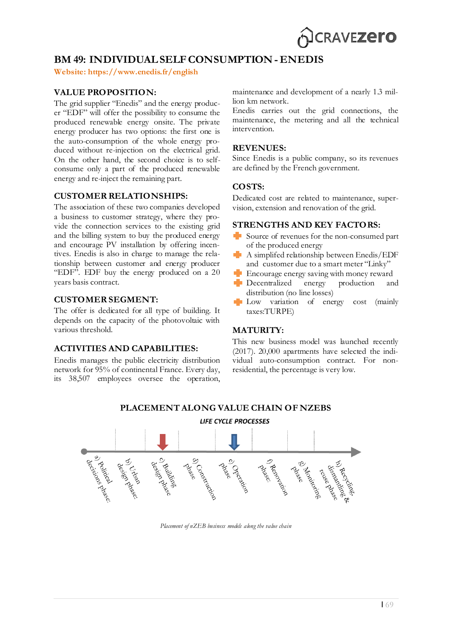

# **BM 49: INDIVIDUAL SELF CONSUMPTION - ENEDIS**

**Website: https://www.enedis.fr/english**

## **VALUE PROPOSITION:**

The grid supplier "Enedis" and the energy producer "EDF" will offer the possibility to consume the produced renewable energy onsite. The private energy producer has two options: the first one is the auto-consumption of the whole energy produced without re-injection on the electrical grid. On the other hand, the second choice is to selfconsume only a part of the produced renewable energy and re-inject the remaining part.

#### **CUSTOMER RELATIONSHIPS:**

The association of these two companies developed a business to customer strategy, where they provide the connection services to the existing grid and the billing system to buy the produced energy and encourage PV installation by offering incentives. Enedis is also in charge to manage the relationship between customer and energy producer "EDF". EDF buy the energy produced on a 20 years basis contract.

#### **CUSTOMER SEGMENT:**

The offer is dedicated for all type of building. It depends on the capacity of the photovoltaic with various threshold.

#### **ACTIVITIES AND CAPABILITIES:**

Enedis manages the public electricity distribution network for 95% of continental France. Every day, its 38,507 employees oversee the operation,

maintenance and development of a nearly 1.3 million km network.

Enedis carries out the grid connections, the maintenance, the metering and all the technical intervention.

#### **REVENUES:**

Since Enedis is a public company, so its revenues are defined by the French government.

## **COSTS:**

Dedicated cost are related to maintenance, supervision, extension and renovation of the grid.

#### **STRENGTHS AND KEY FACTORS:**

- Source of revenues for the non-consumed part of the produced energy
- ÷ A simplifed relationship between Enedis/EDF and customer due to a smart meter "Linky"
- Encourage energy saving with money reward<br>Decentralized energy production and
- **Decentralized** energy production and distribution (no line losses)
- Low variation of energy cost (mainly taxes:TURPE)

#### **MATURITY:**

This new business model was launched recently (2017). 20,000 apartments have selected the individual auto-consumption contract. For nonresidential, the percentage is very low.



## **PLACEMENT ALONG VALUE CHAIN OF NZEBS**

*Placement of nZEB business models along the value chain*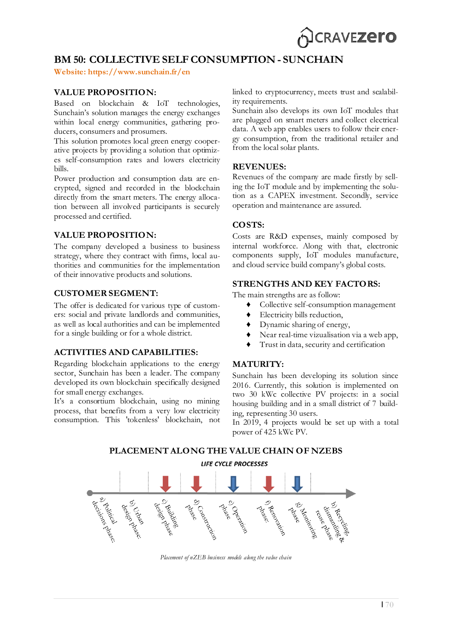# **BM 50: COLLECTIVE SELF CONSUMPTION - SUNCHAIN**

**Website: https://www.sunchain.fr/en**

## **VALUE PROPOSITION:**

Based on blockchain & IoT technologies, Sunchain's solution manages the energy exchanges within local energy communities, gathering producers, consumers and prosumers.

This solution promotes local green energy cooperative projects by providing a solution that optimizes self-consumption rates and lowers electricity bills.

Power production and consumption data are encrypted, signed and recorded in the blockchain directly from the smart meters. The energy allocation between all involved participants is securely processed and certified.

#### **VALUE PROPOSITION:**

The company developed a business to business strategy, where they contract with firms, local authorities and communities for the implementation of their innovative products and solutions.

#### **CUSTOMER SEGMENT:**

The offer is dedicated for various type of customers: social and private landlords and communities, as well as local authorities and can be implemented for a single building or for a whole district.

#### **ACTIVITIES AND CAPABILITIES:**

Regarding blockchain applications to the energy sector, Sunchain has been a leader. The company developed its own blockchain specifically designed for small energy exchanges.

It's a consortium blockchain, using no mining process, that benefits from a very low electricity consumption. This 'tokenless' blockchain, not

linked to cryptocurrency, meets trust and scalability requirements.

Sunchain also develops its own IoT modules that are plugged on smart meters and collect electrical data. A web app enables users to follow their energy consumption, from the traditional retailer and from the local solar plants.

#### **REVENUES:**

Revenues of the company are made firstly by selling the IoT module and by implementing the solution as a CAPEX investment. Secondly, service operation and maintenance are assured.

#### **COSTS:**

Costs are R&D expenses, mainly composed by internal workforce. Along with that, electronic components supply, IoT modules manufacture, and cloud service build company's global costs.

#### **STRENGTHS AND KEY FACTORS:**

The main strengths are as follow:

- Collective self-consumption management
- Electricity bills reduction,
- Dynamic sharing of energy,
- Near real-time vizualisation via a web app,
- ♦ Trust in data, security and certification

#### **MATURITY:**

Sunchain has been developing its solution since 2016. Currently, this solution is implemented on two 30 kWc collective PV projects: in a social housing building and in a small district of 7 building, representing 30 users.

In 2019, 4 projects would be set up with a total power of 425 kWc PV.



*Placement of nZEB business models along the value chain*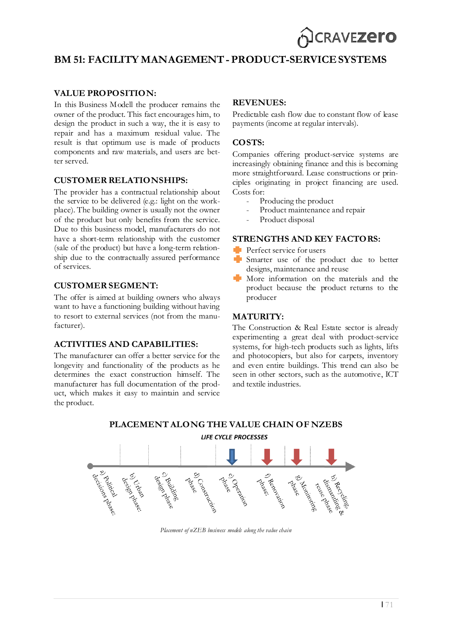# **BM 51: FACILITY MANAGEMENT - PRODUCT-SERVICE SYSTEMS**

## **VALUE PROPOSITION:**

In this Business Modell the producer remains the owner of the product. This fact encourages him, to design the product in such a way, the it is easy to repair and has a maximum residual value. The result is that optimum use is made of products components and raw materials, and users are better served.

#### **CUSTOMER RELATIONSHIPS:**

The provider has a contractual relationship about the service to be delivered (e.g.: light on the workplace). The building owner is usually not the owner of the product but only benefits from the service. Due to this business model, manufacturers do not have a short-term relationship with the customer (sale of the product) but have a long-term relationship due to the contractually assured performance of services.

## **CUSTOMER SEGMENT:**

The offer is aimed at building owners who always want to have a functioning building without having to resort to external services (not from the manufacturer).

## **ACTIVITIES AND CAPABILITIES:**

The manufacturer can offer a better service for the longevity and functionality of the products as he determines the exact construction himself. The manufacturer has full documentation of the product, which makes it easy to maintain and service the product.

### **REVENUES:**

Predictable cash flow due to constant flow of lease payments (income at regular intervals).

#### **COSTS:**

Companies offering product-service systems are increasingly obtaining finance and this is becoming more straightforward. Lease constructions or principles originating in project financing are used. Costs for:

- Producing the product
- Product maintenance and repair
- Product disposal

#### **STRENGTHS AND KEY FACTORS:**

**Perfect service for users** 

- Smarter use of the product due to better designs, maintenance and reuse
- More information on the materials and the product because the product returns to the producer

### **MATURITY:**

The Construction & Real Estate sector is already experimenting a great deal with product-service systems, for high-tech products such as lights, lifts and photocopiers, but also for carpets, inventory and even entire buildings. This trend can also be seen in other sectors, such as the automotive, ICT and textile industries.

## **PLACEMENT ALONG THE VALUE CHAIN OF NZEBS**



*Placement of nZEB business models along the value chain*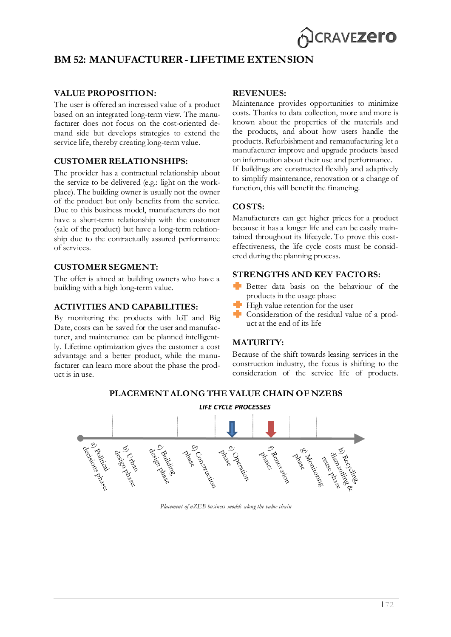

# **BM 52: MANUFACTURER- LIFETIME EXTENSION**

#### **VALUE PROPOSITION:**

The user is offered an increased value of a product based on an integrated long-term view. The manufacturer does not focus on the cost-oriented demand side but develops strategies to extend the service life, thereby creating long-term value.

#### **CUSTOMER RELATIONSHIPS:**

The provider has a contractual relationship about the service to be delivered (e.g.: light on the workplace). The building owner is usually not the owner of the product but only benefits from the service. Due to this business model, manufacturers do not have a short-term relationship with the customer (sale of the product) but have a long-term relationship due to the contractually assured performance of services.

#### **CUSTOMER SEGMENT:**

The offer is aimed at building owners who have a building with a high long-term value.

#### **ACTIVITIES AND CAPABILITIES:**

By monitoring the products with IoT and Big Date, costs can be saved for the user and manufacturer, and maintenance can be planned intelligently. Lifetime optimization gives the customer a cost advantage and a better product, while the manufacturer can learn more about the phase the product is in use.

#### **REVENUES:**

Maintenance provides opportunities to minimize costs. Thanks to data collection, more and more is known about the properties of the materials and the products, and about how users handle the products. Refurbishment and remanufacturing let a manufacturer improve and upgrade products based on information about their use and performance.

If buildings are constructed flexibly and adaptively to simplify maintenance, renovation or a change of function, this will benefit the financing.

## **COSTS:**

Manufacturers can get higher prices for a product because it has a longer life and can be easily maintained throughout its lifecycle. To prove this costeffectiveness, the life cycle costs must be considered during the planning process.

## **STRENGTHS AND KEY FACTORS:**

- Better data basis on the behaviour of the products in the usage phase
- High value retention for the user
- Consideration of the residual value of a product at the end of its life

#### **MATURITY:**

Because of the shift towards leasing services in the construction industry, the focus is shifting to the consideration of the service life of products.



*Placement of nZEB business models along the value chain*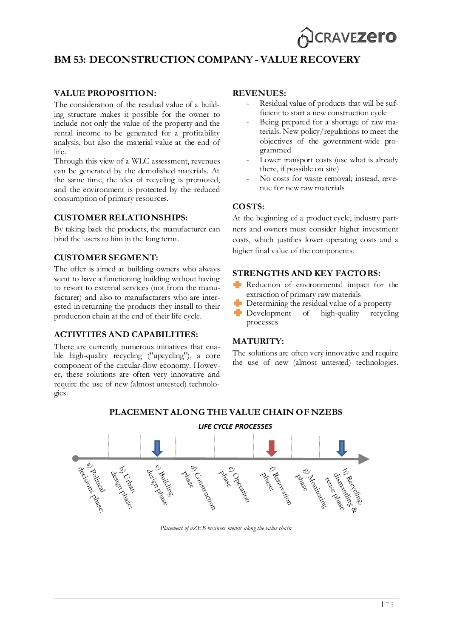# **BM 53: DECONSTRUCTION COMPANY -VALUE RECOVERY**

## **VALUE PROPOSITION:**

The consideration of the residual value of a building structure makes it possible for the owner to include not only the value of the property and the rental income to be generated for a profitability analysis, but also the material value at the end of life.

Through this view of a WLC assessment, revenues can be generated by the demolished materials. At the same time, the idea of recycling is promoted, and the environment is protected by the reduced consumption of primary resources.

#### **CUSTOMER RELATIONSHIPS:**

By taking back the products, the manufacturer can bind the users to him in the long term.

## **CUSTOMER SEGMENT:**

The offer is aimed at building owners who always want to have a functioning building without having to resort to external services (not from the manufacturer) and also to manufacturers who are interested in returning the products they install to their production chain at the end of their life cycle.

#### **ACTIVITIES AND CAPABILITIES:**

There are currently numerous initiatives that enable high-quality recycling ("upcycling"), a core component of the circular-flow economy. However, these solutions are often very innovative and require the use of new (almost untested) technologies.

## **REVENUES:**

- Residual value of products that will be sufficient to start a new construction cycle
- Being prepared for a shortage of raw materials. New policy/regulations to meet the objectives of the government-wide programmed
- Lower transport costs (use what is already there, if possible on site)
- No costs for waste removal; instead, revenue for new raw materials

## **COSTS:**

At the beginning of a product cycle, industry partners and owners must consider higher investment costs, which justifies lower operating costs and a higher final value of the components.

#### **STRENGTHS AND KEY FACTORS:**

- **Reduction of environmental impact for the** extraction of primary raw materials
- Determining the residual value of a property
- Development of high-quality recycling processes

## **MATURITY:**

The solutions are often very innovative and require the use of new (almost untested) technologies.



#### *Placement of nZEB business models along the value chain*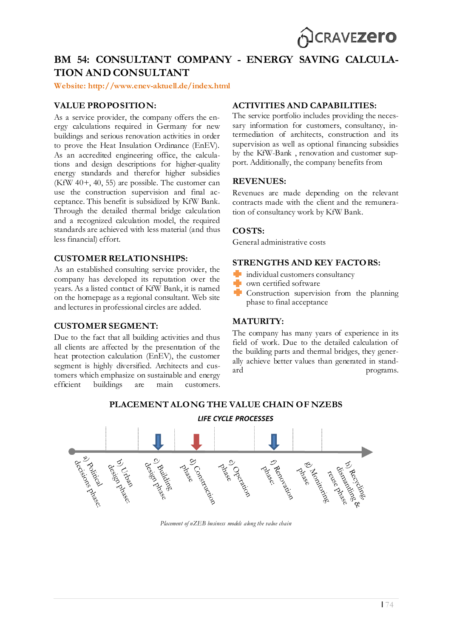# **BM 54: CONSULTANT COMPANY - ENERGY SAVING CALCULA-TION AND CONSULTANT**

**Website[: http://www.enev-aktuell.de/index.html](http://www.enev-aktuell.de/index.html)**

#### **VALUE PROPOSITION:**

As a service provider, the company offers the energy calculations required in Germany for new buildings and serious renovation activities in order to prove the Heat Insulation Ordinance (EnEV). As an accredited engineering office, the calculations and design descriptions for higher-quality energy standards and therefor higher subsidies (KfW 40+, 40, 55) are possible. The customer can use the construction supervision and final acceptance. This benefit is subsidized by KfW Bank. Through the detailed thermal bridge calculation and a recognized calculation model, the required standards are achieved with less material (and thus less financial) effort.

#### **CUSTOMER RELATIONSHIPS:**

As an established consulting service provider, the company has developed its reputation over the years. As a listed contact of KfW Bank, it is named on the homepage as a regional consultant. Web site and lectures in professional circles are added.

#### **CUSTOMER SEGMENT:**

Due to the fact that all building activities and thus all clients are affected by the presentation of the heat protection calculation (EnEV), the customer segment is highly diversified. Architects and customers which emphasize on sustainable and energy efficient buildings are main customers.

## **ACTIVITIES AND CAPABILITIES:**

The service portfolio includes providing the necessary information for customers, consultancy, intermediation of architects, construction and its supervision as well as optional financing subsidies by the KfW-Bank , renovation and customer support. Additionally, the company benefits from

#### **REVENUES:**

Revenues are made depending on the relevant contracts made with the client and the remuneration of consultancy work by KfW Bank.

#### **COSTS:**

General administrative costs

#### **STRENGTHS AND KEY FACTORS:**

- $\blacksquare$  individual customers consultancy
- **own certified software**
- $\blacksquare$  Construction supervision from the planning phase to final acceptance

#### **MATURITY:**

The company has many years of experience in its field of work. Due to the detailed calculation of the building parts and thermal bridges, they generally achieve better values than generated in standard programs.



## **PLACEMENT ALONG THE VALUE CHAIN OF NZEBS**

*Placement of nZEB business models along the value chain*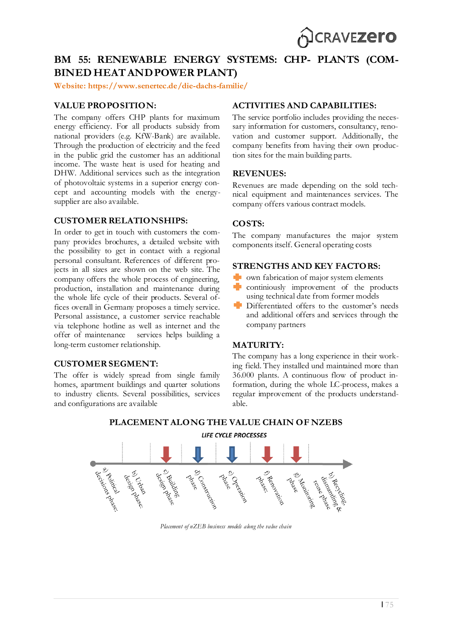# **BM 55: RENEWABLE ENERGY SYSTEMS: CHP- PLANTS (COM-BINED HEAT AND POWER PLANT)**

**Website[: https://www.senertec.de/die-dachs-familie/](https://www.senertec.de/die-dachs-familie/)**

### **VALUE PROPOSITION:**

The company offers CHP plants for maximum energy efficiency. For all products subsidy from national providers (e.g. KfW-Bank) are available. Through the production of electricity and the feed in the public grid the customer has an additional income. The waste heat is used for heating and DHW. Additional services such as the integration of photovoltaic systems in a superior energy concept and accounting models with the energysupplier are also available.

## **CUSTOMER RELATIONSHIPS:**

In order to get in touch with customers the company provides brochures, a detailed website with the possibility to get in contact with a regional personal consultant. References of different projects in all sizes are shown on the web site. The company offers the whole process of engineering, production, installation and maintenance during the whole life cycle of their products. Several offices overall in Germany proposes a timely service. Personal assistance, a customer service reachable via telephone hotline as well as internet and the offer of maintenance services helps building a long-term customer relationship.

## **CUSTOMER SEGMENT:**

The offer is widely spread from single family homes, apartment buildings and quarter solutions to industry clients. Several possibilities, services and configurations are available

# **ACTIVITIES AND CAPABILITIES:**

The service portfolio includes providing the necessary information for customers, consultancy, renovation and customer support. Additionally, the company benefits from having their own production sites for the main building parts.

#### **REVENUES:**

Revenues are made depending on the sold technical equipment and maintenances services. The company offers various contract models.

## **COSTS:**

The company manufactures the major system components itself. General operating costs

## **STRENGTHS AND KEY FACTORS:**

- own fabrication of major system elements
- continiously improvement of the products using technical date from former models
- Differentiated offers to the customer's needs and additional offers and services through the company partners

#### **MATURITY:**

The company has a long experience in their working field. They installed und maintained more than 36.000 plants. A continuous flow of product information, during the whole LC-process, makes a regular improvement of the products understandable.





*Placement of nZEB business models along the value chain*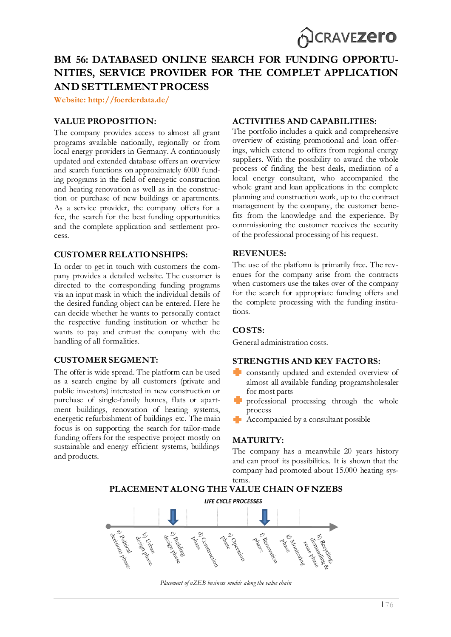# **BM 56: DATABASED ONLINE SEARCH FOR FUNDING OPPORTU-NITIES, SERVICE PROVIDER FOR THE COMPLET APPLICATION AND SETTLEMENT PROCESS**

**Website[: http://foerderdata.de/](http://foerderdata.de/)**

#### **VALUE PROPOSITION:**

The company provides access to almost all grant programs available nationally, regionally or from local energy providers in Germany. A continuously updated and extended database offers an overview and search functions on approximately 6000 funding programs in the field of energetic construction and heating renovation as well as in the construction or purchase of new buildings or apartments. As a service provider, the company offers for a fee, the search for the best funding opportunities and the complete application and settlement process.

#### **CUSTOMER RELATIONSHIPS:**

In order to get in touch with customers the company provides a detailed website. The customer is directed to the corresponding funding programs via an input mask in which the individual details of the desired funding object can be entered. Here he can decide whether he wants to personally contact the respective funding institution or whether he wants to pay and entrust the company with the handling of all formalities.

#### **CUSTOMER SEGMENT:**

The offer is wide spread. The platform can be used as a search engine by all customers (private and public investors) interested in new construction or purchase of single-family homes, flats or apartment buildings, renovation of heating systems, energetic refurbishment of buildings etc. The main focus is on supporting the search for tailor-made funding offers for the respective project mostly on sustainable and energy efficient systems, buildings and products.

#### **ACTIVITIES AND CAPABILITIES:**

The portfolio includes a quick and comprehensive overview of existing promotional and loan offerings, which extend to offers from regional energy suppliers. With the possibility to award the whole process of finding the best deals, mediation of a local energy consultant, who accompanied the whole grant and loan applications in the complete planning and construction work, up to the contract management by the company, the customer benefits from the knowledge and the experience. By commissioning the customer receives the security of the professional processing of his request.

#### **REVENUES:**

The use of the platform is primarily free. The revenues for the company arise from the contracts when customers use the takes over of the company for the search for appropriate funding offers and the complete processing with the funding institutions.

#### **COSTS:**

General administration costs.

#### **STRENGTHS AND KEY FACTORS:**

- constantly updated and extended overview of almost all available funding programsholesaler for most parts
- professional processing through the whole process
- Accompanied by a consultant possible

#### **MATURITY:**

The company has a meanwhile 20 years history and can proof its possibilities. It is shown that the company had promoted about 15.000 heating sys-



*Placement of nZEB business models along the value chain*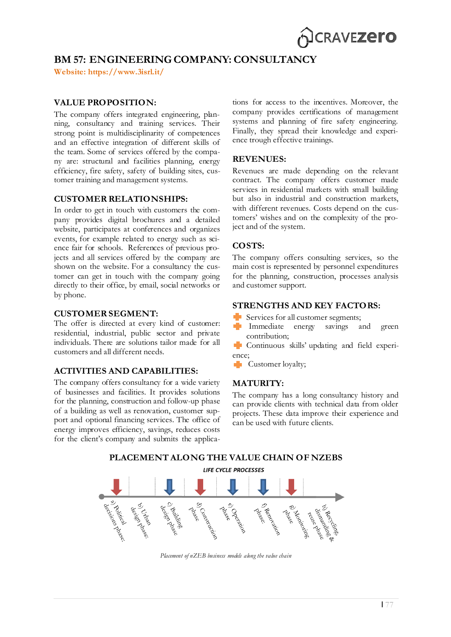

# **BM 57: ENGINEERING COMPANY: CONSULTANCY**

**Website[: https://www.3isrl.it/](https://www.3isrl.it/)**

#### **VALUE PROPOSITION:**

The company offers integrated engineering, planning, consultancy and training services. Their strong point is multidisciplinarity of competences and an effective integration of different skills of the team. Some of services offered by the company are: structural and facilities planning, energy efficiency, fire safety, safety of building sites, customer training and management systems.

#### **CUSTOMER RELATIONSHIPS:**

In order to get in touch with customers the company provides digital brochures and a detailed website, participates at conferences and organizes events, for example related to energy such as science fair for schools. References of previous projects and all services offered by the company are shown on the website. For a consultancy the customer can get in touch with the company going directly to their office, by email, social networks or by phone.

#### **CUSTOMER SEGMENT:**

The offer is directed at every kind of customer: residential, industrial, public sector and private individuals. There are solutions tailor made for all customers and all different needs.

## **ACTIVITIES AND CAPABILITIES:**

The company offers consultancy for a wide variety of businesses and facilities. It provides solutions for the planning, construction and follow-up phase of a building as well as renovation, customer support and optional financing services. The office of energy improves efficiency, savings, reduces costs for the client's company and submits the applica-

tions for access to the incentives. Moreover, the company provides certifications of management systems and planning of fire safety engineering. Finally, they spread their knowledge and experience trough effective trainings.

#### **REVENUES:**

Revenues are made depending on the relevant contract. The company offers customer made services in residential markets with small building but also in industrial and construction markets, with different revenues. Costs depend on the customers' wishes and on the complexity of the project and of the system.

#### **COSTS:**

The company offers consulting services, so the main cost is represented by personnel expenditures for the planning, construction, processes analysis and customer support.

#### **STRENGTHS AND KEY FACTORS:**

- Services for all customer segments;
- Immediate energy savings and green contribution;

**Continuous** skills' updating and field experience;

**Customer loyalty;** 

#### **MATURITY:**

The company has a long consultancy history and can provide clients with technical data from older projects. These data improve their experience and can be used with future clients.



*Placement of nZEB business models along the value chain*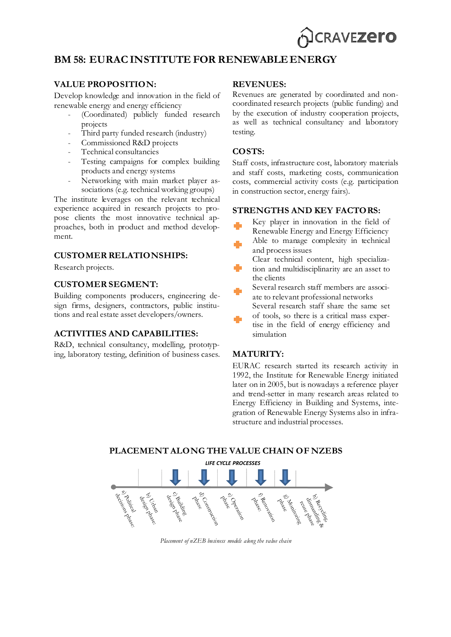# **BM 58: EURAC INSTITUTE FOR RENEWABLE ENERGY**

### **VALUE PROPOSITION:**

Develop knowledge and innovation in the field of renewable energy and energy efficiency

- (Coordinated) publicly funded research projects
- Third party funded research (industry)
- Commissioned R&D projects
- Technical consultancies
- Testing campaigns for complex building products and energy systems
- Networking with main market player associations (e.g. technical working groups)

The institute leverages on the relevant technical experience acquired in research projects to propose clients the most innovative technical approaches, both in product and method development.

#### **CUSTOMER RELATIONSHIPS:**

Research projects.

## **CUSTOMER SEGMENT:**

Building components producers, engineering design firms, designers, contractors, public institutions and real estate asset developers/owners.

#### **ACTIVITIES AND CAPABILITIES:**

R&D, technical consultancy, modelling, prototyping, laboratory testing, definition of business cases.

#### **REVENUES:**

Revenues are generated by coordinated and noncoordinated research projects (public funding) and by the execution of industry cooperation projects, as well as technical consultancy and laboratory testing.

## **COSTS:**

Staff costs, infrastructure cost, laboratory materials and staff costs, marketing costs, communication costs, commercial activity costs (e.g. participation in construction sector, energy fairs).

#### **STRENGTHS AND KEY FACTORS:**

Key player in innovation in the field of Renewable Energy and Energy Efficiency

- Able to manage complexity in technical and process issues
	- Clear technical content, high specializa-
- tion and multidisciplinarity are an asset to the clients
- Several research staff members are associate to relevant professional networks
	- Several research staff share the same set
- of tools, so there is a critical mass expertise in the field of energy efficiency and simulation

#### **MATURITY:**

EURAC research started its research activity in 1992, the Institute for Renewable Energy initiated later on in 2005, but is nowadays a reference player and trend-setter in many research areas related to Energy Efficiency in Building and Systems, integration of Renewable Energy Systems also in infrastructure and industrial processes.

## **PLACEMENT ALONG THE VALUE CHAIN OF NZEBS**

**LIFE CYCLE PROCESSES** 



*Placement of nZEB business models along the value chain*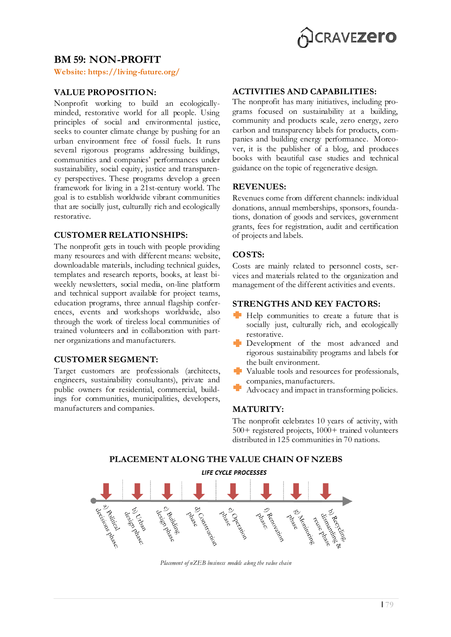

# **BM 59: NON-PROFIT**

**Website: https://living-future.org/** 

#### **VALUE PROPOSITION:**

Nonprofit working to build an ecologicallyminded, restorative world for all people. Using principles of social and environmental justice, seeks to counter climate change by pushing for an urban environment free of fossil fuels. It runs several rigorous programs addressing buildings, communities and companies' performances under sustainability, social equity, justice and transparency perspectives. These programs develop a green framework for living in a 21st-century world. The goal is to establish worldwide vibrant communities that are socially just, culturally rich and ecologically restorative.

#### **CUSTOMER RELATIONSHIPS:**

The nonprofit gets in touch with people providing many resources and with different means: website, downloadable materials, including technical guides, templates and research reports, books, at least biweekly newsletters, social media, on-line platform and technical support available for project teams, education programs, three annual flagship conferences, events and workshops worldwide, also through the work of tireless local communities of trained volunteers and in collaboration with partner organizations and manufacturers.

#### **CUSTOMER SEGMENT:**

Target customers are professionals (architects, engineers, sustainability consultants), private and public owners for residential, commercial, buildings for communities, municipalities, developers, manufacturers and companies.

#### **ACTIVITIES AND CAPABILITIES:**

The nonprofit has many initiatives, including programs focused on sustainability at a building, community and products scale, zero energy, zero carbon and transparency labels for products, companies and building energy performance. Moreover, it is the publisher of a blog, and produces books with beautiful case studies and technical guidance on the topic of regenerative design.

#### **REVENUES:**

Revenues come from different channels: individual donations, annual memberships, sponsors, foundations, donation of goods and services, government grants, fees for registration, audit and certification of projects and labels.

#### **COSTS:**

Costs are mainly related to personnel costs, services and materials related to the organization and management of the different activities and events.

#### **STRENGTHS AND KEY FACTORS:**

- Help communities to create a future that is socially just, culturally rich, and ecologically restorative.
- Development of the most advanced and rigorous sustainability programs and labels for the built environment.
- Valuable tools and resources for professionals, companies, manufacturers.
- Advocacy and impact in transforming policies.

#### **MATURITY:**

The nonprofit celebrates 10 years of activity, with 500+ registered projects, 1000+ trained volunteers distributed in 125 communities in 70 nations.



*Placement of nZEB business models along the value chain*